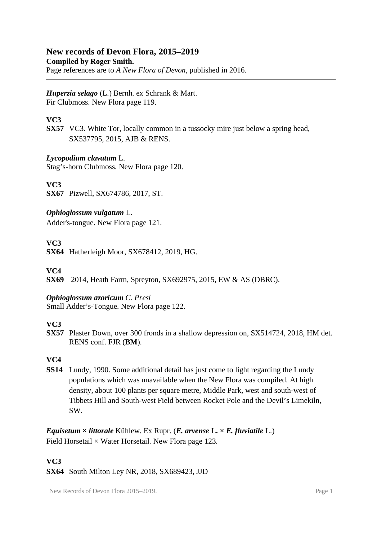# **New records of Devon Flora, 2015–2019**

**Compiled by Roger Smith.**

Page references are to *A New Flora of Devon*, published in 2016.

*Huperzia selago* (L.) Bernh. ex Schrank & Mart. Fir Clubmoss. New Flora page 119.

# **VC3**

**SX57** VC3. White Tor, locally common in a tussocky mire just below a spring head, SX537795, 2015, AJB & RENS.

# *Lycopodium clavatum* L.

Stag's-horn Clubmoss. New Flora page 120.

**VC3**

**SX67** Pizwell, SX674786, 2017, ST.

# *Ophioglossum vulgatum* L.

Adder's-tongue. New Flora page 121.

# **VC3**

**SX64** Hatherleigh Moor, SX678412, 2019, HG.

# **VC4**

**SX69** 2014, Heath Farm, Spreyton, SX692975, 2015, EW & AS (DBRC).

### *Ophioglossum azoricum C. Presl*

Small Adder's-Tongue. New Flora page 122.

### **VC3**

**SX57** Plaster Down, over 300 fronds in a shallow depression on, SX514724, 2018, HM det. RENS conf. FJR (**BM**).

# **VC4**

**SS14** Lundy, 1990. Some additional detail has just come to light regarding the Lundy populations which was unavailable when the New Flora was compiled. At high density, about 100 plants per square metre, Middle Park, west and south-west of Tibbets Hill and South-west Field between Rocket Pole and the Devil's Limekiln, SW.

*Equisetum*  $\times$  *littorale* Kühlew. Ex Rupr. (*E. arvense* L.  $\times$  *E. fluviatile* L.) Field Horsetail  $\times$  Water Horsetail. New Flora page 123.

# **VC3**

**SX64** South Milton Ley NR, 2018, SX689423, JJD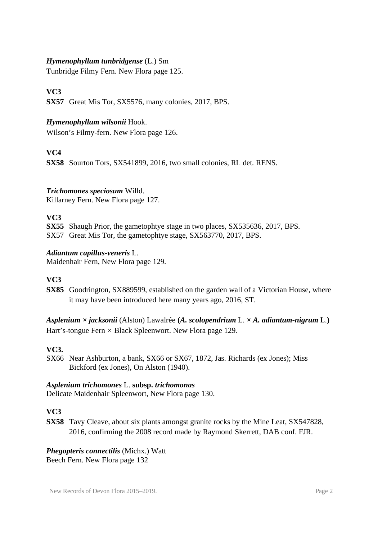#### *Hymenophyllum tunbridgense* (L.) Sm

Tunbridge Filmy Fern. New Flora page 125.

# **VC3**

**SX57** Great Mis Tor, SX5576, many colonies, 2017, BPS.

#### *Hymenophyllum wilsonii* Hook.

Wilson's Filmy-fern. New Flora page 126.

### **VC4**

**SX58** Sourton Tors, SX541899, 2016, two small colonies, RL det. RENS.

### *Trichomones speciosum* Willd.

Killarney Fern. New Flora page 127.

### **VC3**

**SX55** Shaugh Prior, the gametophtye stage in two places, SX535636, 2017, BPS. SX57 Great Mis Tor, the gametophtye stage, SX563770, 2017, BPS.

#### *Adiantum capillus-veneris* L.

Maidenhair Fern, New Flora page 129.

### **VC3**

**SX85** Goodrington, SX889599, established on the garden wall of a Victorian House, where it may have been introduced here many years ago, 2016, ST.

*Asplenium × jacksonii* (Alston) Lawalrée **(***A. scolopendrium* L. *× A. adiantum-nigrum* L.**)** Hart's-tongue Fern *×* Black Spleenwort. New Flora page 129.

### **VC3.**

SX66 Near Ashburton, a bank, SX66 or SX67, 1872, Jas. Richards (ex Jones); Miss Bickford (ex Jones), On Alston (1940).

#### *Asplenium trichomones* L. **subsp.** *trichomonas*

Delicate Maidenhair Spleenwort, New Flora page 130.

### **VC3**

**SX58** Tavy Cleave, about six plants amongst granite rocks by the Mine Leat, SX547828, 2016, confirming the 2008 record made by Raymond Skerrett, DAB conf. FJR.

*Phegopteris connectilis* (Michx.) Watt Beech Fern. New Flora page 132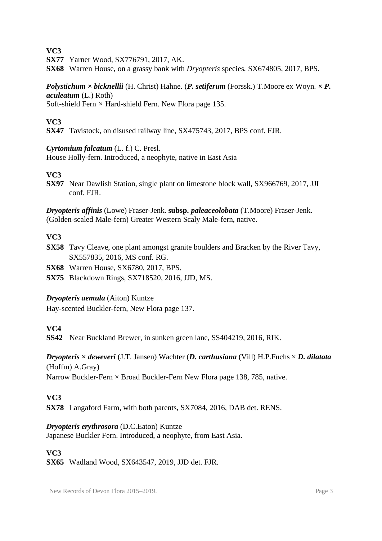**SX77** Yarner Wood, SX776791, 2017, AK.

**SX68** Warren House, on a grassy bank with *Dryopteris* species, SX674805, 2017, BPS.

#### *Polystichum × bicknellii* (H. Christ) Hahne. (*P. setiferum* (Forssk.) T.Moore ex Woyn. *× P. aculeatum* (L.) Roth) Soft-shield Fern *×* Hard-shield Fern. New Flora page 135.

#### **VC3**

**SX47** Tavistock, on disused railway line, SX475743, 2017, BPS conf. FJR.

#### *Cyrtomium falcatum* (L. f.) C. Presl.

House Holly-fern. Introduced, a neophyte, native in East Asia

#### **VC3**

**SX97** Near Dawlish Station, single plant on limestone block wall, SX966769, 2017, JJI conf. FJR.

*Dryopteris affinis* (Lowe) Fraser-Jenk. **subsp.** *paleaceolobata* (T.Moore) Fraser-Jenk. (Golden-scaled Male-fern) Greater Western Scaly Male-fern, native.

### **VC3**

**SX58** Tavy Cleave, one plant amongst granite boulders and Bracken by the River Tavy, SX557835, 2016, MS conf. RG.

**SX68** Warren House, SX6780, 2017, BPS.

**SX75** Blackdown Rings, SX718520, 2016, JJD, MS.

#### *Dryopteris aemula* (Aiton) Kuntze

Hay-scented Buckler-fern, New Flora page 137.

### **VC4**

**SS42** Near Buckland Brewer, in sunken green lane, SS404219, 2016, RIK.

# *Dryopteris* **×** *deweveri* (J.T. Jansen) Wachter (*D. carthusiana* (Vill) H.P.Fuchs × *D. dilatata* (Hoffm) A.Gray)

Narrow Buckler-Fern  $\times$  Broad Buckler-Fern New Flora page 138, 785, native.

### **VC3**

**SX78** Langaford Farm, with both parents, SX7084, 2016, DAB det. RENS.

### *Dryopteris erythrosora* (D.C.Eaton) Kuntze

Japanese Buckler Fern. Introduced, a neophyte, from East Asia.

# **VC3**

**SX65** Wadland Wood, SX643547, 2019, JJD det. FJR.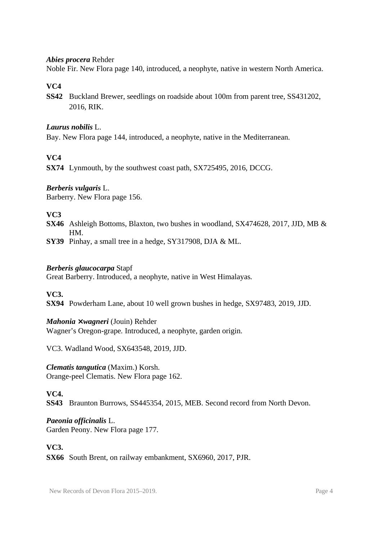#### *Abies procera* Rehder

Noble Fir. New Flora page 140, introduced, a neophyte, native in western North America.

#### **VC4**

**SS42** Buckland Brewer, seedlings on roadside about 100m from parent tree, SS431202, 2016, RIK.

#### *Laurus nobilis* L.

Bay. New Flora page 144, introduced, a neophyte, native in the Mediterranean.

### **VC4**

**SX74** Lynmouth, by the southwest coast path, SX725495, 2016, DCCG.

#### *Berberis vulgaris* L.

Barberry. New Flora page 156.

#### **VC3**

- **SX46** Ashleigh Bottoms, Blaxton, two bushes in woodland, SX474628, 2017, JJD, MB & HM.
- **SY39** Pinhay, a small tree in a hedge, SY317908, DJA & ML.

#### *Berberis glaucocarpa* Stapf

Great Barberry. Introduced, a neophyte, native in West Himalayas.

**VC3.** 

**SX94** Powderham Lane, about 10 well grown bushes in hedge, SX97483, 2019, JJD.

#### *Mahonia* **×** *wagneri* (Jouin) Rehder

Wagner's Oregon-grape. Introduced, a neophyte, garden origin.

VC3. Wadland Wood, SX643548, 2019, JJD.

*Clematis tangutica* (Maxim.) Korsh. Orange-peel Clematis. New Flora page 162.

#### **VC4.**

**SS43** Braunton Burrows, SS445354, 2015, MEB. Second record from North Devon.

*Paeonia officinalis* L. Garden Peony. New Flora page 177.

#### **VC3.**

**SX66** South Brent, on railway embankment, SX6960, 2017, PJR.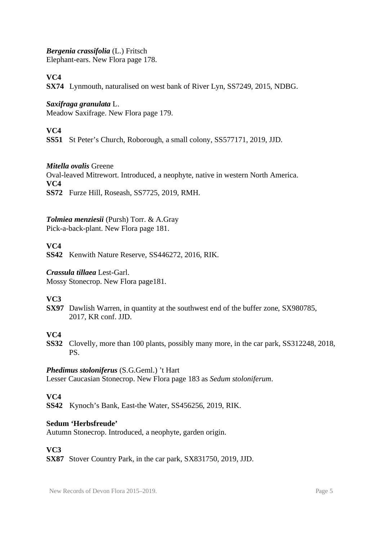#### *Bergenia crassifolia* (L.) Fritsch

Elephant-ears. New Flora page 178.

# **VC4**

**SX74** Lynmouth, naturalised on west bank of River Lyn, SS7249, 2015, NDBG.

### *Saxifraga granulata* L.

Meadow Saxifrage. New Flora page 179.

# **VC4**

**SS51** St Peter's Church, Roborough, a small colony, SS577171, 2019, JJD.

#### *Mitella ovalis* Greene

Oval-leaved Mitrewort. Introduced, a neophyte, native in western North America. **VC4**

**SS72** Furze Hill, Roseash, SS7725, 2019, RMH.

### *Tolmiea menziesii* (Pursh) Torr. & A.Gray

Pick-a-back-plant. New Flora page 181.

### **VC4**

**SS42** Kenwith Nature Reserve, SS446272, 2016, RIK.

#### *Crassula tillaea* Lest-Garl.

Mossy Stonecrop. New Flora page181.

### **VC3**

**SX97** Dawlish Warren, in quantity at the southwest end of the buffer zone, SX980785, 2017, KR conf. JJD.

### **VC4**

**SS32** Clovelly, more than 100 plants, possibly many more, in the car park, SS312248, 2018, PS.

### *Phedimus stoloniferus* (S.G.Geml.) 't Hart

Lesser Caucasian Stonecrop. New Flora page 183 as *Sedum stoloniferum*.

### **VC4**

**SS42** Kynoch's Bank, East-the Water, SS456256, 2019, RIK.

#### **Sedum 'Herbsfreude'**

Autumn Stonecrop. Introduced, a neophyte, garden origin.

### **VC3**

**SX87** Stover Country Park, in the car park, SX831750, 2019, JJD.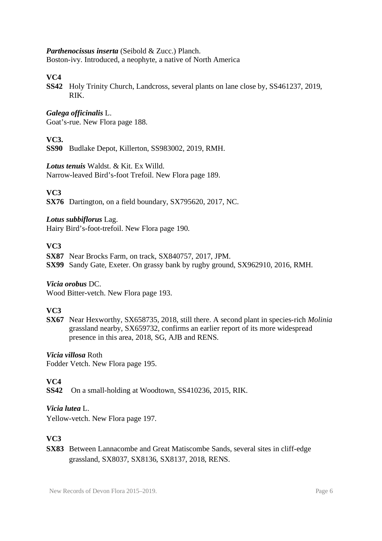#### *Parthenocissus inserta* (Seibold & Zucc.) Planch.

Boston-ivy. Introduced, a neophyte, a native of North America

#### **VC4**

**SS42** Holy Trinity Church, Landcross, several plants on lane close by, SS461237, 2019, RIK.

#### *Galega officinalis* L.

Goat's-rue. New Flora page 188.

#### **VC3.**

**SS90** Budlake Depot, Killerton, SS983002, 2019, RMH.

#### *Lotus tenuis* Waldst. & Kit. Ex Willd.

Narrow-leaved Bird's-foot Trefoil. New Flora page 189.

#### **VC3**

**SX76** Dartington, on a field boundary, SX795620, 2017, NC.

#### *Lotus subbiflorus* Lag.

Hairy Bird's-foot-trefoil. New Flora page 190.

#### **VC3**

**SX87** Near Brocks Farm, on track, SX840757, 2017, JPM. **SX99** Sandy Gate, Exeter. On grassy bank by rugby ground, SX962910, 2016, RMH.

*Vicia orobus* DC. Wood Bitter-vetch. New Flora page 193.

### **VC3**

**SX67** Near Hexworthy, SX658735, 2018, still there. A second plant in species-rich *Molinia* grassland nearby, SX659732, confirms an earlier report of its more widespread presence in this area, 2018, SG, AJB and RENS.

#### *Vicia villosa* Roth

Fodder Vetch. New Flora page 195.

### **VC4**

**SS42** On a small-holding at Woodtown, SS410236, 2015, RIK.

#### *Vicia lutea* L.

Yellow-vetch. New Flora page 197.

# **VC3**

**SX83** Between Lannacombe and Great Matiscombe Sands, several sites in cliff-edge grassland, SX8037, SX8136, SX8137, 2018, RENS.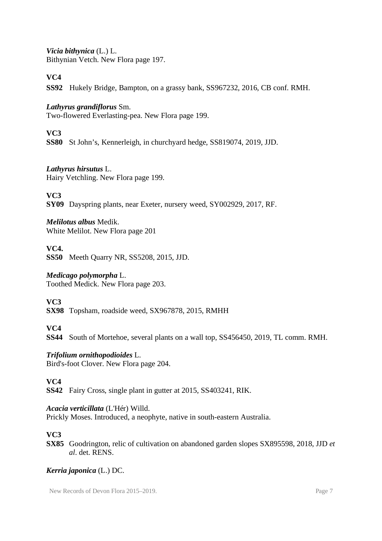*Vicia bithynica* (L.) L. Bithynian Vetch. New Flora page 197.

# **VC4**

**SS92** Hukely Bridge, Bampton, on a grassy bank, SS967232, 2016, CB conf. RMH.

### *Lathyrus grandiflorus* Sm.

Two-flowered Everlasting-pea. New Flora page 199.

# **VC3**

**SS80** St John's, Kennerleigh, in churchyard hedge, SS819074, 2019, JJD.

### *Lathyrus hirsutus* L.

Hairy Vetchling. New Flora page 199.

**VC3**

**SY09** Dayspring plants, near Exeter, nursery weed, SY002929, 2017, RF.

# *Melilotus albus* Medik.

White Melilot. New Flora page 201

# **VC4.**

**SS50** Meeth Quarry NR, SS5208, 2015, JJD.

# *Medicago polymorpha* L.

Toothed Medick. New Flora page 203.

**VC3**

**SX98** Topsham, roadside weed, SX967878, 2015, RMHH

# **VC4**

**SS44** South of Mortehoe, several plants on a wall top, SS456450, 2019, TL comm. RMH.

### *Trifolium ornithopodioides* L.

Bird's-foot Clover. New Flora page 204.

# **VC4**

**SS42** Fairy Cross, single plant in gutter at 2015, SS403241, RIK.

### *Acacia verticillata* (L'Hér) Willd.

Prickly Moses. Introduced, a neophyte, native in south-eastern Australia.

### **VC3**

**SX85** Goodrington, relic of cultivation on abandoned garden slopes SX895598, 2018, JJD *et al*. det. RENS.

# *Kerria japonica* (L.) DC.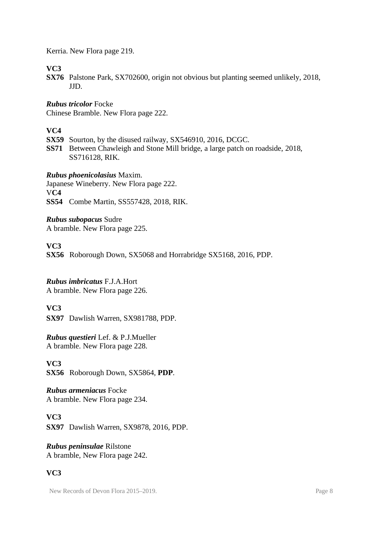Kerria. New Flora page 219.

# **VC3**

**SX76** Palstone Park, SX702600, origin not obvious but planting seemed unlikely, 2018, JJD.

*Rubus tricolor* Focke

Chinese Bramble. New Flora page 222.

# **VC4**

**SX59** Sourton, by the disused railway, SX546910, 2016, DCGC.

**SS71** Between Chawleigh and Stone Mill bridge, a large patch on roadside, 2018, SS716128, RIK.

*Rubus phoenicolasius* Maxim.

Japanese Wineberry. New Flora page 222. V**C4 SS54** Combe Martin, SS557428, 2018, RIK.

*Rubus subopacus* Sudre A bramble. New Flora page 225.

**VC3**

**SX56** Roborough Down, SX5068 and Horrabridge SX5168, 2016, PDP.

*Rubus imbricatus* F.J.A.Hort A bramble. New Flora page 226.

### **VC3**

**SX97** Dawlish Warren, SX981788, PDP.

*Rubus questieri* Lef. & P.J.Mueller A bramble. New Flora page 228.

**VC3 SX56** Roborough Down, SX5864, **PDP**.

*Rubus armeniacus* Focke A bramble. New Flora page 234.

**VC3 SX97** Dawlish Warren, SX9878, 2016, PDP.

*Rubus peninsulae* Rilstone A bramble, New Flora page 242.

# **VC3**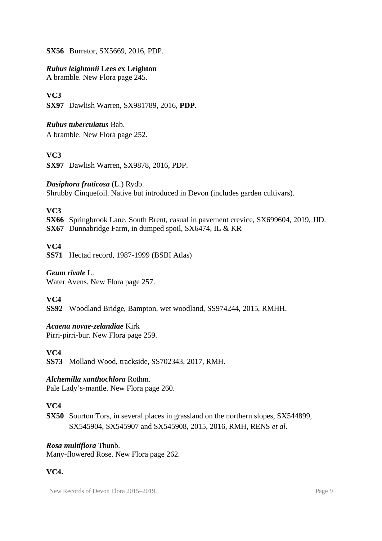**SX56** Burrator, SX5669, 2016, PDP.

#### *Rubus leightonii* **Lees ex Leighton**

A bramble. New Flora page 245.

### **VC3**

**SX97** Dawlish Warren, SX981789, 2016, **PDP**.

#### *Rubus tuberculatus* Bab.

A bramble. New Flora page 252.

#### **VC3**

**SX97** Dawlish Warren, SX9878, 2016, PDP.

#### *Dasiphora fruticosa* (L.) Rydb.

Shrubby Cinquefoil. Native but introduced in Devon (includes garden cultivars).

#### **VC3**

**SX66** Springbrook Lane, South Brent, casual in pavement crevice, SX699604, 2019, JJD.

**SX67** Dunnabridge Farm, in dumped spoil, SX6474, IL & KR

#### **VC4**

**SS71** Hectad record, 1987-1999 (BSBI Atlas)

#### *Geum rivale* L.

Water Avens. New Flora page 257.

### **VC4**

**SS92** Woodland Bridge, Bampton, wet woodland, SS974244, 2015, RMHH.

#### *Acaena novae-zelandiae* Kirk

Pirri-pirri-bur. New Flora page 259.

#### **VC4**

**SS73** Molland Wood, trackside, SS702343, 2017, RMH.

#### *Alchemilla xanthochlora* Rothm.

Pale Lady's-mantle. New Flora page 260.

### **VC4**

**SX50** Sourton Tors, in several places in grassland on the northern slopes, SX544899, SX545904, SX545907 and SX545908, 2015, 2016, RMH, RENS *et al*.

#### *Rosa multiflora* Thunb.

Many-flowered Rose. New Flora page 262.

### **VC4.**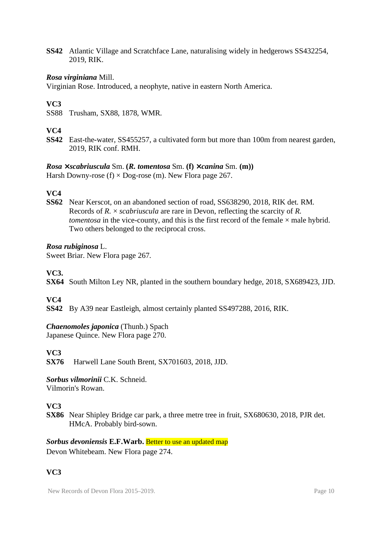**SS42** Atlantic Village and Scratchface Lane, naturalising widely in hedgerows SS432254, 2019, RIK.

#### *Rosa virginiana* Mill.

Virginian Rose. Introduced, a neophyte, native in eastern North America.

#### **VC3**

SS88 Trusham, SX88, 1878, WMR.

#### **VC4**

**SS42** East-the-water, SS455257, a cultivated form but more than 100m from nearest garden, 2019, RIK conf. RMH.

# *Rosa* **×** *scabriuscula* Sm. **(***R. tomentosa* Sm. **(f) ×** *canina* Sm. **(m))**

Harsh Downy-rose  $(f) \times$  Dog-rose  $(m)$ . New Flora page 267.

### **VC4**

**SS62** Near Kerscot, on an abandoned section of road, SS638290, 2018, RIK det. RM. Records of *R.* × *scabriuscula* are rare in Devon, reflecting the scarcity of *R. tomentosa* in the vice-county, and this is the first record of the female  $\times$  male hybrid. Two others belonged to the reciprocal cross.

#### *Rosa rubiginosa* L.

Sweet Briar. New Flora page 267.

#### **VC3.**

**SX64** South Milton Ley NR, planted in the southern boundary hedge, 2018, SX689423, JJD.

### **VC4**

**SS42** By A39 near Eastleigh, almost certainly planted SS497288, 2016, RIK.

### *Chaenomoles japonica* (Thunb.) Spach

Japanese Quince. New Flora page 270.

### **VC3**

**SX76** Harwell Lane South Brent, SX701603, 2018, JJD.

*Sorbus vilmorinii* C.K. Schneid. Vilmorin's Rowan.

### **VC3**

**SX86** Near Shipley Bridge car park, a three metre tree in fruit, SX680630, 2018, PJR det. HMcA. Probably bird-sown.

#### *Sorbus devoniensis* **E.F.Warb.** Better to use an updated map Devon Whitebeam. New Flora page 274.

# **VC3**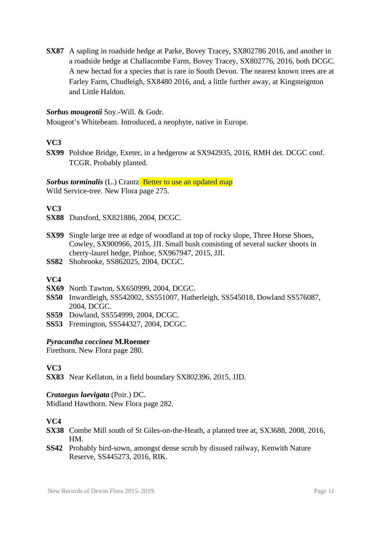**SX87** A sapling in roadside hedge at Parke, Bovey Tracey, SX802786 2016, and another in a roadside hedge at Challacombe Farm, Bovey Tracey, SX802776, 2016, both DCGC. A new hectad for a species that is rare in South Devon. The nearest known trees are at Farley Farm, Chudleigh, SX8480 2016, and, a little further away, at Kingsteignton and Little Haldon.

#### *Sorbus mougeotii* Soy.-Will. & Godr.

Mougeot's Whitebeam. Introduced, a neophyte, native in Europe.

#### **VC3**

**SX99** Polshoe Bridge, Exeter, in a hedgerow at SX942935, 2016, RMH det. DCGC conf. TCGR. Probably planted.

*Sorbus torminalis* (L.) Crantz Better to use an updated map Wild Service-tree. New Flora page 275.

#### **VC3**

- **SX88** Dunsford, SX821886, 2004, DCGC.
- **SX99** Single large tree at edge of woodland at top of rocky slope, Three Horse Shoes, Cowley, SX900966, 2015, JJI. Small bush consisting of several sucker shoots in cherry-laurel hedge, Pinhoe, SX967947, 2015, JJI.
- **SS82** Shobrooke, SS862025, 2004, DCGC.

#### **VC4**

- **SX69** North Tawton, SX650999, 2004, DCGC.
- **SS50** Inwardleigh, SS542002, SS551007, Hatherleigh, SS545018, Dowland SS576087, 2004, DCGC.
- **SS59** Dowland, SS554999, 2004, DCGC.
- **SS53** Fremington, SS544327, 2004, DCGC.

#### *Pyracantha coccinea* **M.Roemer**

Firethorn. New Flora page 280.

#### **VC3**

**SX83** Near Kellaton, in a field boundary SX802396, 2015, JJD.

#### *Crataegus laevigata* (Poir.) DC.

Midland Hawthorn. New Flora page 282.

- **SX38** Combe Mill south of St Giles-on-the-Heath, a planted tree at, SX3688, 2008, 2016, HM.
- **SS42** Probably bird-sown, amongst dense scrub by disused railway, Kenwith Nature Reserve, SS445273, 2016, RIK.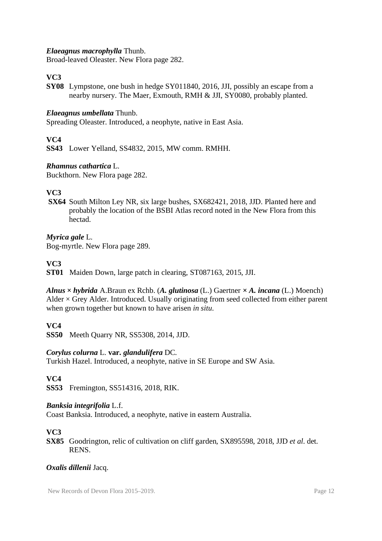#### *Elaeagnus macrophylla* Thunb.

Broad-leaved Oleaster. New Flora page 282.

# **VC3**

**SY08** Lympstone, one bush in hedge SY011840, 2016, JJI, possibly an escape from a nearby nursery. The Maer, Exmouth, RMH & JJI, SY0080, probably planted.

#### *Elaeagnus umbellata* Thunb.

Spreading Oleaster. Introduced, a neophyte, native in East Asia.

#### **VC4**

**SS43** Lower Yelland, SS4832, 2015, MW comm. RMHH.

#### *Rhamnus cathartica* L.

Buckthorn. New Flora page 282.

### **VC3**

 **SX64** South Milton Ley NR, six large bushes, SX682421, 2018, JJD. Planted here and probably the location of the BSBI Atlas record noted in the New Flora from this hectad.

#### *Myrica gale* L.

Bog-myrtle. New Flora page 289.

#### **VC3**

**ST01** Maiden Down, large patch in clearing, ST087163, 2015, JJI.

#### *Alnus* **×** *hybrida* A.Braun ex Rchb. (*A. glutinosa* (L.) Gaertner **×** *A. incana* (L.) Moench) Alder  $\times$  Grey Alder. Introduced. Usually originating from seed collected from either parent when grown together but known to have arisen *in situ*.

### **VC4**

**SS50** Meeth Quarry NR, SS5308, 2014, JJD.

#### *Corylus colurna* L. **var.** *glandulifera* DC.

Turkish Hazel. Introduced, a neophyte, native in SE Europe and SW Asia.

#### **VC4**

**SS53** Fremington, SS514316, 2018, RIK.

#### *Banksia integrifolia* L.f.

Coast Banksia. Introduced, a neophyte, native in eastern Australia.

#### **VC3**

**SX85** Goodrington, relic of cultivation on cliff garden, SX895598, 2018, JJD *et al*. det. RENS.

#### *Oxalis dillenii* Jacq.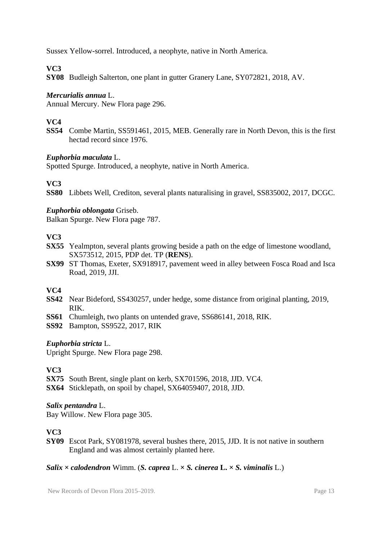Sussex Yellow-sorrel. Introduced, a neophyte, native in North America.

# **VC3**

**SY08** Budleigh Salterton, one plant in gutter Granery Lane, SY072821, 2018, AV.

#### *Mercurialis annua* L.

Annual Mercury. New Flora page 296.

# **VC4**

**SS54** Combe Martin, SS591461, 2015, MEB. Generally rare in North Devon, this is the first hectad record since 1976.

#### *Euphorbia maculata* L.

Spotted Spurge. Introduced, a neophyte, native in North America.

### **VC3**

**SS80** Libbets Well, Crediton, several plants naturalising in gravel, SS835002, 2017, DCGC.

#### *Euphorbia oblongata* Griseb.

Balkan Spurge. New Flora page 787.

### **VC3**

- **SX55** Yealmpton, several plants growing beside a path on the edge of limestone woodland, SX573512, 2015, PDP det. TP (**RENS**).
- **SX99** ST Thomas, Exeter, SX918917, pavement weed in alley between Fosca Road and Isca Road, 2019, JJI.

### **VC4**

- **SS42** Near Bideford, SS430257, under hedge, some distance from original planting, 2019, RIK.
- **SS61** Chumleigh, two plants on untended grave, SS686141, 2018, RIK.
- **SS92** Bampton, SS9522, 2017, RIK

#### *Euphorbia stricta* L.

Upright Spurge. New Flora page 298.

### **VC3**

**SX75** South Brent, single plant on kerb, SX701596, 2018, JJD. VC4.

**SX64** Sticklepath, on spoil by chapel, SX64059407, 2018, JJD.

#### *Salix pentandra* L.

Bay Willow. New Flora page 305.

### **VC3**

**SY09** Escot Park, SY081978, several bushes there, 2015, JJD. It is not native in southern England and was almost certainly planted here.

#### *Salix*  $\times$  *calodendron* Wimm. (*S. caprea* L.  $\times$  *S. cinerea* L.  $\times$  *S. viminalis* L.)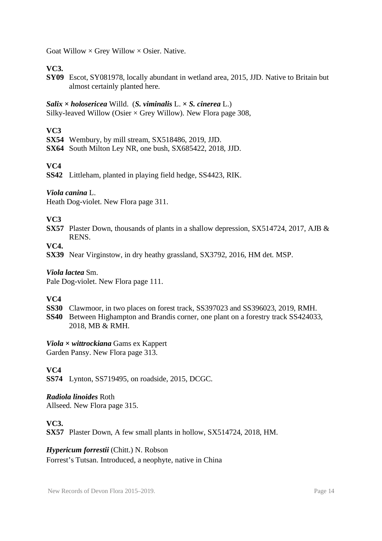Goat Willow  $\times$  Grey Willow  $\times$  Osier. Native.

# **VC3.**

**SY09** Escot, SY081978, locally abundant in wetland area, 2015, JJD. Native to Britain but almost certainly planted here.

#### *Salix* **×** *holosericea* Willd. (*S. viminalis* L. **×** *S. cinerea* L.)

Silky-leaved Willow (Osier  $\times$  Grey Willow). New Flora page 308,

# **VC3**

- **SX54** Wembury, by mill stream, SX518486, 2019, JJD.
- **SX64** South Milton Ley NR, one bush, SX685422, 2018, JJD.

### **VC4**

**SS42** Littleham, planted in playing field hedge, SS4423, RIK.

#### *Viola canina* L.

Heath Dog-violet. New Flora page 311.

### **VC3**

**SX57** Plaster Down, thousands of plants in a shallow depression, SX514724, 2017, AJB & RENS.

# **VC4.**

**SX39** Near Virginstow, in dry heathy grassland, SX3792, 2016, HM det. MSP.

#### *Viola lactea* Sm.

Pale Dog-violet. New Flora page 111.

### **VC4**

- **SS30** Clawmoor, in two places on forest track, SS397023 and SS396023, 2019, RMH.
- **SS40** Between Highampton and Brandis corner, one plant on a forestry track SS424033, 2018, MB & RMH.

# *Viola* **×** *wittrockiana* Gams ex Kappert

Garden Pansy. New Flora page 313.

### **VC4**

**SS74** Lynton, SS719495, on roadside, 2015, DCGC.

# *Radiola linoides* Roth

Allseed. New Flora page 315.

### **VC3.**

**SX57** Plaster Down, A few small plants in hollow, SX514724, 2018, HM.

#### *Hypericum forrestii* (Chitt.) N. Robson

Forrest's Tutsan. Introduced, a neophyte, native in China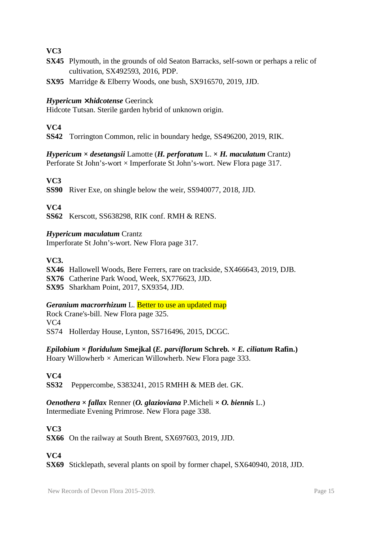- **SX45** Plymouth, in the grounds of old Seaton Barracks, self-sown or perhaps a relic of cultivation, SX492593, 2016, PDP.
- **SX95** Marridge & Elberry Woods, one bush, SX916570, 2019, JJD.

#### *Hypericum* **×** *hidcotense* Geerinck

Hidcote Tutsan. Sterile garden hybrid of unknown origin.

#### **VC4**

**SS42** Torrington Common, relic in boundary hedge, SS496200, 2019, RIK.

*Hypericum* **×** *desetangsii* Lamotte (*H. perforatum* L. **×** *H. maculatum* Crantz) Perforate St John's-wort × Imperforate St John's-wort. New Flora page 317.

### **VC3**

**SS90** River Exe, on shingle below the weir, SS940077, 2018, JJD.

#### **VC4**

**SS62** Kerscott, SS638298, RIK conf. RMH & RENS.

#### *Hypericum maculatum* Crantz

Imperforate St John's-wort. New Flora page 317.

#### **VC3.**

**SX46** Hallowell Woods, Bere Ferrers, rare on trackside, SX466643, 2019, DJB. **SX76** Catherine Park Wood, Week, SX776623, JJD. **SX95** Sharkham Point, 2017, SX9354, JJD.

#### *Geranium macrorrhizum* L. Better to use an updated map

Rock Crane's-bill. New Flora page 325. VC4 SS74 Hollerday House, Lynton, SS716496, 2015, DCGC.

*Epilobium × floridulum* **Smejkal (***E. parviflorum* **Schreb. ×** *E. ciliatum* **Rafin.)** Hoary Willowherb *×* American Willowherb. New Flora page 333.

#### **VC4**

**SS32** Peppercombe, S383241, 2015 RMHH & MEB det. GK.

*Oenothera* **×** *fallax* Renner (*O. glazioviana* P.Micheli **×** *O. biennis* L.) Intermediate Evening Primrose. New Flora page 338.

### **VC3**

**SX66** On the railway at South Brent, SX697603, 2019, JJD.

**VC4**

**SX69** Sticklepath, several plants on spoil by former chapel, SX640940, 2018, JJD.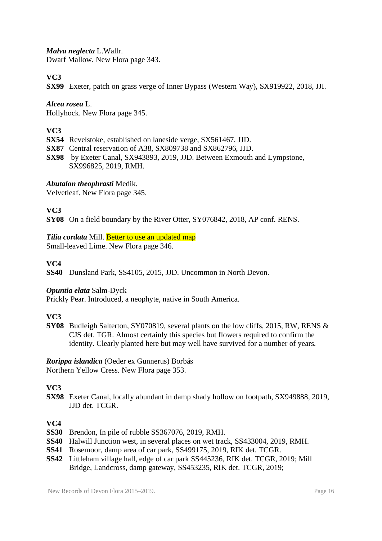*Malva neglecta* L.Wallr.

Dwarf Mallow. New Flora page 343.

# **VC3**

**SX99** Exeter, patch on grass verge of Inner Bypass (Western Way), SX919922, 2018, JJI.

*Alcea rosea* L. Hollyhock. New Flora page 345.

# **VC3**

- **SX54** Revelstoke, established on laneside verge, SX561467, JJD.
- **SX87** Central reservation of A38, SX809738 and SX862796, JJD.

**SX98** by Exeter Canal, SX943893, 2019, JJD. Between Exmouth and Lympstone, SX996825, 2019, RMH.

### *Abutalon theophrasti* Medik.

Velvetleaf. New Flora page 345.

### **VC3**

**SY08** On a field boundary by the River Otter, SY076842, 2018, AP conf. RENS.

# *Tilia cordata* Mill. Better to use an updated map

Small-leaved Lime. New Flora page 346.

### **VC4**

**SS40** Dunsland Park, SS4105, 2015, JJD. Uncommon in North Devon.

### *Opuntia elata* Salm-Dyck

Prickly Pear. Introduced, a neophyte, native in South America.

### **VC3**

**SY08** Budleigh Salterton, SY070819, several plants on the low cliffs, 2015, RW, RENS & CJS det. TGR. Almost certainly this species but flowers required to confirm the identity. Clearly planted here but may well have survived for a number of years.

*Rorippa islandica* (Oeder ex Gunnerus) Borbás Northern Yellow Cress. New Flora page 353.

### **VC3**

**SX98** Exeter Canal, locally abundant in damp shady hollow on footpath, SX949888, 2019, JJD det. TCGR.

- **SS30** Brendon, In pile of rubble SS367076, 2019, RMH.
- **SS40** Halwill Junction west, in several places on wet track, SS433004, 2019, RMH.
- **SS41** Rosemoor, damp area of car park, SS499175, 2019, RIK det. TCGR.
- **SS42** Littleham village hall, edge of car park SS445236, RIK det. TCGR, 2019; Mill Bridge, Landcross, damp gateway, SS453235, RIK det. TCGR, 2019;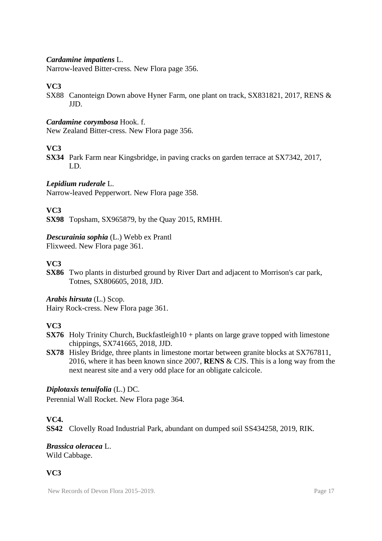#### *Cardamine impatiens* L.

Narrow-leaved Bitter-cress. New Flora page 356.

#### **VC3**

SX88 Canonteign Down above Hyner Farm, one plant on track, SX831821, 2017, RENS & JJD.

#### *Cardamine corymbosa* Hook. f.

New Zealand Bitter-cress. New Flora page 356.

#### **VC3**

**SX34** Park Farm near Kingsbridge, in paving cracks on garden terrace at SX7342, 2017, LD.

#### *Lepidium ruderale* L.

Narrow-leaved Pepperwort. New Flora page 358.

#### **VC3**

**SX98** Topsham, SX965879, by the Quay 2015, RMHH.

#### *Descurainia sophia* (L.) Webb ex Prantl

Flixweed. New Flora page 361.

#### **VC3**

**SX86** Two plants in disturbed ground by River Dart and adjacent to Morrison's car park, Totnes, SX806605, 2018, JJD.

### *Arabis hirsuta* (L.) Scop.

Hairy Rock-cress. New Flora page 361.

### **VC3**

- **SX76** Holy Trinity Church, Buckfastleigh10 + plants on large grave topped with limestone chippings, SX741665, 2018, JJD.
- **SX78** Hisley Bridge, three plants in limestone mortar between granite blocks at SX767811, 2016, where it has been known since 2007, **RENS** & CJS. This is a long way from the next nearest site and a very odd place for an obligate calcicole.

### *Diplotaxis tenuifolia* (L.) DC.

Perennial Wall Rocket. New Flora page 364.

#### **VC4.**

**SS42** Clovelly Road Industrial Park, abundant on dumped soil SS434258, 2019, RIK.

#### *Brassica oleracea* L. Wild Cabbage.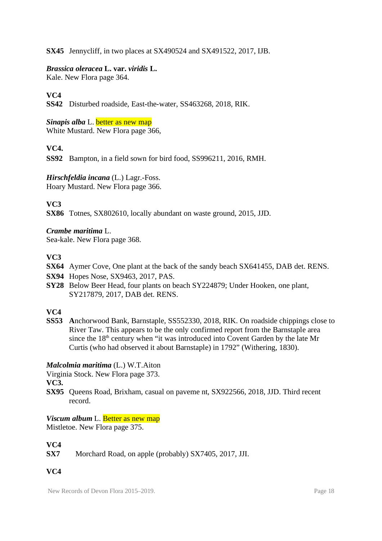**SX45** Jennycliff, in two places at SX490524 and SX491522, 2017, IJB.

#### *Brassica oleracea* **L. var.** *viridis* **L.**

Kale. New Flora page 364.

# **VC4**

**SS42** Disturbed roadside, East-the-water, SS463268, 2018, RIK.

#### *Sinapis alba* L. **better** as new map White Mustard. New Flora page 366,

### **VC4.**

**SS92** Bampton, in a field sown for bird food, SS996211, 2016, RMH.

*Hirschfeldia incana* (L.) Lagr.-Foss. Hoary Mustard. New Flora page 366.

# **VC3**

**SX86** Totnes, SX802610, locally abundant on waste ground, 2015, JJD.

#### *Crambe maritima* L.

Sea-kale. New Flora page 368.

### **VC3**

- **SX64** Aymer Cove, One plant at the back of the sandy beach SX641455, DAB det. RENS.
- **SX94** Hopes Nose, SX9463, 2017, PAS.
- **SY28** Below Beer Head, four plants on beach SY224879; Under Hooken, one plant, SY217879, 2017, DAB det. RENS.

### **VC4**

**SS53 A**nchorwood Bank, Barnstaple, SS552330, 2018, RIK. On roadside chippings close to River Taw. This appears to be the only confirmed report from the Barnstaple area since the  $18<sup>th</sup>$  century when "it was introduced into Covent Garden by the late Mr Curtis (who had observed it about Barnstaple) in 1792" (Withering, 1830).

### *Malcolmia maritima* (L.) W.T.Aiton

Virginia Stock. New Flora page 373.

**VC3.**

**SX95** Queens Road, Brixham, casual on paveme nt, SX922566, 2018, JJD. Third recent record.

*Viscum album* L. Better as new map

Mistletoe. New Flora page 375.

### **VC4**

**SX7** Morchard Road, on apple (probably) SX7405, 2017, JJI.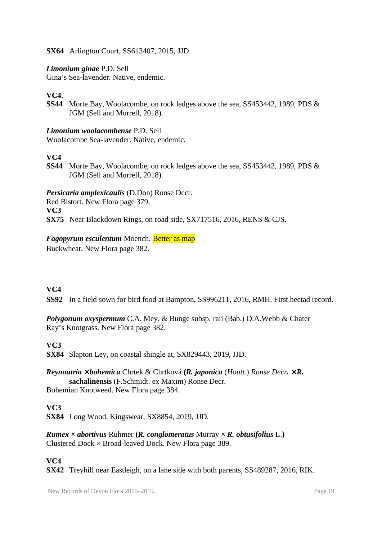#### **SX64** Arlington Court, SS613407, 2015, JJD.

#### *Limonium ginae* P.D. Sell

Gina's Sea-lavender. Native, endemic.

### **VC4.**

**SS44** Morte Bay, Woolacombe, on rock ledges above the sea, SS453442, 1989, PDS & JGM (Sell and Murrell, 2018).

#### *Limonium woolacombense* P.D. Sell

Woolacombe Sea-lavender. Native, endemic.

# **VC4**

**SS44** Morte Bay, Woolacombe, on rock ledges above the sea, SS453442, 1989, PDS & JGM (Sell and Murrell, 2018).

*Persicaria amplexicaulis* (D.Don) Ronse Decr.

Red Bistort. New Flora page 379. **VC3**

**SX75** Near Blackdown Rings, on road side, SX717516, 2016, RENS & CJS.

#### *Fagopyrum esculentum* Moench. Better as map

Buckwheat. New Flora page 382.

### **VC4**

**SS92** In a field sown for bird food at Bampton, SS996211, 2016, RMH. First hectad record.

*Polygonum oxyspermum* C.A. Mey. & Bunge subsp. raii (Bab.) D.A.Webb & Chater Ray's Knotgrass. New Flora page 382.

#### **VC3**

**SX84** Slapton Ley, on coastal shingle at, SX829443, 2019, JJD.

*Reynoutria* **×** *bohemica* Chrtek & Chrtková **(***R. japonica* (*Houtt.*) *Ronse Decr. × R.*  **sachalinensis** (F.Schmidt. ex Maxim) Ronse Decr. Bohemian Knotweed. New Flora page 384.

#### **VC3**

**SX84** Long Wood, Kingswear, SX8854, 2019, JJD.

*Rumex*  $\times$  *abortivus* Ruhmer (*R. conglomeratus* Murray  $\times$  *R. obtusifolius* L.) Clustered Dock  $\times$  Broad-leaved Dock. New Flora page 389.

### **VC4**

**SX42** Treyhill near Eastleigh, on a lane side with both parents, SS489287, 2016, RIK.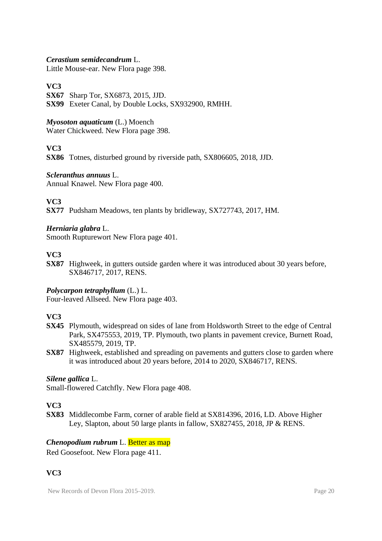#### *Cerastium semidecandrum* L.

Little Mouse-ear. New Flora page 398.

#### **VC3**

**SX67** Sharp Tor, SX6873, 2015, JJD. **SX99** Exeter Canal, by Double Locks, SX932900, RMHH.

# *Myosoton aquaticum* (L.) Moench

Water Chickweed. New Flora page 398.

### **VC3**

**SX86** Totnes, disturbed ground by riverside path, SX806605, 2018, JJD.

#### *Scleranthus annuus* L.

Annual Knawel. New Flora page 400.

# **VC3**

**SX77** Pudsham Meadows, ten plants by bridleway, SX727743, 2017, HM.

#### *Herniaria glabra* L.

Smooth Rupturewort New Flora page 401.

#### **VC3**

**SX87** Highweek, in gutters outside garden where it was introduced about 30 years before, SX846717, 2017, RENS.

#### *Polycarpon tetraphyllum* (L.) L.

Four-leaved Allseed. New Flora page 403.

### **VC3**

- **SX45** Plymouth, widespread on sides of lane from Holdsworth Street to the edge of Central Park, SX475553, 2019, TP. Plymouth, two plants in pavement crevice, Burnett Road, SX485579, 2019, TP.
- **SX87** Highweek, established and spreading on pavements and gutters close to garden where it was introduced about 20 years before, 2014 to 2020, SX846717, RENS.

#### *Silene gallica* L.

Small-flowered Catchfly. New Flora page 408.

### **VC3**

**SX83** Middlecombe Farm, corner of arable field at SX814396, 2016, LD. Above Higher Ley, Slapton, about 50 large plants in fallow, SX827455, 2018, JP & RENS.

### *Chenopodium rubrum* L. Better as map

Red Goosefoot. New Flora page 411.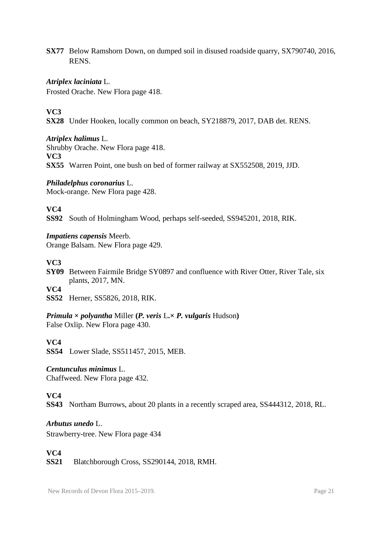**SX77** Below Ramshorn Down, on dumped soil in disused roadside quarry, SX790740, 2016, RENS.

#### *Atriplex laciniata* L.

Frosted Orache. New Flora page 418.

# **VC3**

**SX28** Under Hooken, locally common on beach, SY218879, 2017, DAB det. RENS.

*Atriplex halimus* L. Shrubby Orache. New Flora page 418. **VC3 SX55** Warren Point, one bush on bed of former railway at SX552508, 2019, JJD.

*Philadelphus coronarius* L. Mock-orange. New Flora page 428.

#### **VC4**

**SS92** South of Holmingham Wood, perhaps self-seeded, SS945201, 2018, RIK.

*Impatiens capensis* Meerb. Orange Balsam. New Flora page 429.

#### **VC3**

**SY09** Between Fairmile Bridge SY0897 and confluence with River Otter, River Tale, six plants, 2017, MN. **VC4**

**SS52** Herner, SS5826, 2018, RIK.

*Primula*  $\times$  *polyantha* Miller (*P. veris* L. $\times$  *P. vulgaris* Hudson)

False Oxlip. New Flora page 430.

#### **VC4**

**SS54** Lower Slade, SS511457, 2015, MEB.

#### *Centunculus minimus* L.

Chaffweed. New Flora page 432.

### **VC4**

**SS43** Northam Burrows, about 20 plants in a recently scraped area, SS444312, 2018, RL.

*Arbutus unedo* L.

Strawberry-tree. New Flora page 434

# **VC4**

**SS21** Blatchborough Cross, SS290144, 2018, RMH.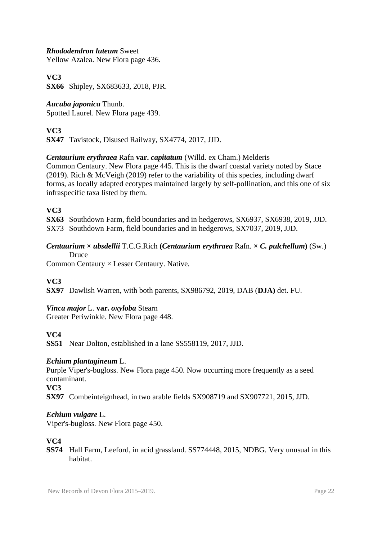#### *Rhododendron luteum* Sweet

Yellow Azalea. New Flora page 436.

# **VC3**

**SX66** Shipley, SX683633, 2018, PJR.

### *Aucuba japonica* Thunb.

Spotted Laurel. New Flora page 439.

# **VC3**

**SX47** Tavistock, Disused Railway, SX4774, 2017, JJD.

### *Centaurium erythraea* Rafn **var.** *capitatum* (Willd. ex Cham.) Melderis

Common Centaury. New Flora page 445. This is the dwarf coastal variety noted by Stace (2019). Rich & McVeigh (2019) refer to the variability of this species, including dwarf forms, as locally adapted ecotypes maintained largely by self-pollination, and this one of six infraspecific taxa listed by them.

#### **VC3**

**SX63** Southdown Farm, field boundaries and in hedgerows, SX6937, SX6938, 2019, JJD. SX73 Southdown Farm, field boundaries and in hedgerows, SX7037, 2019, JJD.

#### *Centaurium* **×** *ubsdellii* T.C.G.Rich **(***Centaurium erythraea* Rafn. **×** *C. pulchellum***)** (Sw.) Druce

Common Centaury × Lesser Centaury. Native.

# **VC3**

**SX97** Dawlish Warren, with both parents, SX986792, 2019, DAB (**DJA)** det. FU.

### *Vinca major* L. **var.** *oxyloba* Stearn

Greater Periwinkle. New Flora page 448.

### **VC4**

**SS51** Near Dolton, established in a lane SS558119, 2017, JJD.

#### *Echium plantagineum* L.

Purple Viper's-bugloss. New Flora page 450. Now occurring more frequently as a seed contaminant.

**VC3**

**SX97** Combeinteignhead, in two arable fields SX908719 and SX907721, 2015, JJD.

#### *Echium vulgare* L.

Viper's-bugloss. New Flora page 450.

### **VC4**

**SS74** Hall Farm, Leeford, in acid grassland. SS774448, 2015, NDBG. Very unusual in this habitat.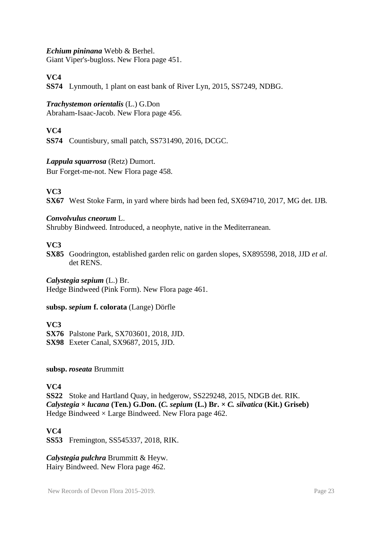#### *Echium pininana* Webb & Berhel.

Giant Viper's-bugloss. New Flora page 451.

# **VC4**

**SS74** Lynmouth, 1 plant on east bank of River Lyn, 2015, SS7249, NDBG.

#### *Trachystemon orientalis* (L.) G.Don

Abraham-Isaac-Jacob. New Flora page 456.

# **VC4**

**SS74** Countisbury, small patch, SS731490, 2016, DCGC.

#### *Lappula squarrosa* (Retz) Dumort.

Bur Forget-me-not. New Flora page 458.

# **VC3**

**SX67** West Stoke Farm, in yard where birds had been fed, SX694710, 2017, MG det. IJB.

#### *Convolvulus cneorum* L.

Shrubby Bindweed. Introduced, a neophyte, native in the Mediterranean.

#### **VC3**

**SX85** Goodrington, established garden relic on garden slopes, SX895598, 2018, JJD *et al*. det RENS.

*Calystegia sepium* (L.) Br. Hedge Bindweed (Pink Form). New Flora page 461.

#### **subsp.** *sepium* **f. colorata** (Lange) Dörfle

#### **VC3**

**SX76** Palstone Park, SX703601, 2018, JJD. **SX98** Exeter Canal, SX9687, 2015, JJD.

#### **subsp.** *roseata* Brummitt

### **VC4**

**SS22** Stoke and Hartland Quay, in hedgerow, SS229248, 2015, NDGB det. RIK. *Calystegia* **×** *lucana* **(Ten.) G.Don. (***C. sepium* **(L.) Br. ×** *C. silvatica* **(Kit.) Griseb)** Hedge Bindweed  $\times$  Large Bindweed. New Flora page 462.

### **VC4**

**SS53** Fremington, SS545337, 2018, RIK.

*Calystegia pulchra* Brummitt & Heyw. Hairy Bindweed. New Flora page 462.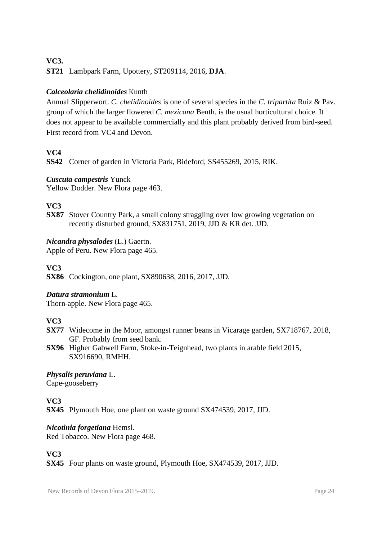# **VC3.**

**ST21** Lambpark Farm, Upottery, ST209114, 2016, **DJA**.

# *Calceolaria chelidinoides* Kunth

Annual Slipperwort. *C. chelidinoides* is one of several species in the *C. tripartita* Ruiz & Pav. group of which the larger flowered *C. mexicana* Benth. is the usual horticultural choice. It does not appear to be available commercially and this plant probably derived from bird-seed. First record from VC4 and Devon.

### **VC4**

**SS42** Corner of garden in Victoria Park, Bideford, SS455269, 2015, RIK.

#### *Cuscuta campestris* Yunck

Yellow Dodder. New Flora page 463.

### **VC3**

**SX87** Stover Country Park, a small colony straggling over low growing vegetation on recently disturbed ground, SX831751, 2019, JJD & KR det. JJD.

#### *Nicandra physalodes* (L.) Gaertn.

Apple of Peru. New Flora page 465.

# **VC3**

**SX86** Cockington, one plant, SX890638, 2016, 2017, JJD.

#### *Datura stramonium* L.

Thorn-apple. New Flora page 465.

### **VC3**

- **SX77** Widecome in the Moor, amongst runner beans in Vicarage garden, SX718767, 2018, GF. Probably from seed bank.
- **SX96** Higher Gabwell Farm, Stoke-in-Teignhead, two plants in arable field 2015, SX916690, RMHH.

# *Physalis peruviana* L.

Cape-gooseberry

### **VC3**

**SX45** Plymouth Hoe, one plant on waste ground SX474539, 2017, JJD.

### *Nicotinia forgetiana* Hemsl.

Red Tobacco. New Flora page 468.

# **VC3**

**SX45** Four plants on waste ground, Plymouth Hoe, SX474539, 2017, JJD.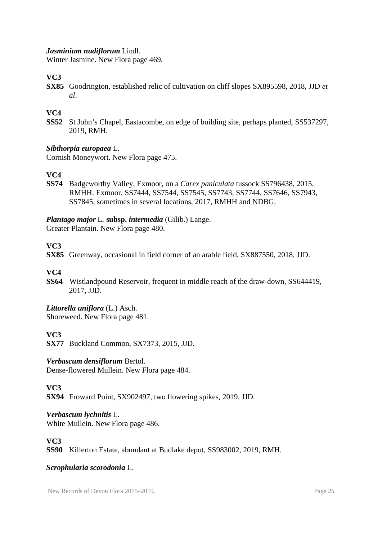#### *Jasminium nudiflorum* Lindl.

Winter Jasmine. New Flora page 469.

# **VC3**

**SX85** Goodrington, established relic of cultivation on cliff slopes SX895598, 2018, JJD *et al*.

# **VC4**

**SS52** St John's Chapel, Eastacombe, on edge of building site, perhaps planted, SS537297, 2019, RMH.

#### *Sibthorpia europaea* L.

Cornish Moneywort. New Flora page 475.

### **VC4**

**SS74** Badgeworthy Valley, Exmoor, on a *Carex paniculata* tussock SS796438, 2015, RMHH. Exmoor, SS7444, SS7544, SS7545, SS7743, SS7744, SS7646, SS7943, SS7845, sometimes in several locations, 2017, RMHH and NDBG.

#### *Plantago major* L. **subsp.** *intermedia* (Gilib.) Lange.

Greater Plantain. New Flora page 480.

### **VC3**

**SX85** Greenway, occasional in field corner of an arable field, SX887550, 2018, JJD.

#### **VC4**

**SS64** Wistlandpound Reservoir, frequent in middle reach of the draw-down, SS644419, 2017, JJD.

#### *Littorella uniflora* (L.) Asch.

Shoreweed. New Flora page 481.

#### **VC3**

**SX77** Buckland Common, SX7373, 2015, JJD.

#### *Verbascum densiflorum* Bertol.

Dense-flowered Mullein. New Flora page 484.

### **VC3**

**SX94** Froward Point, SX902497, two flowering spikes, 2019, JJD.

### *Verbascum lychnitis* L.

White Mullein. New Flora page 486.

### **VC3**

**SS90** Killerton Estate, abundant at Budlake depot, SS983002, 2019, RMH.

#### *Scrophularia scorodonia* L.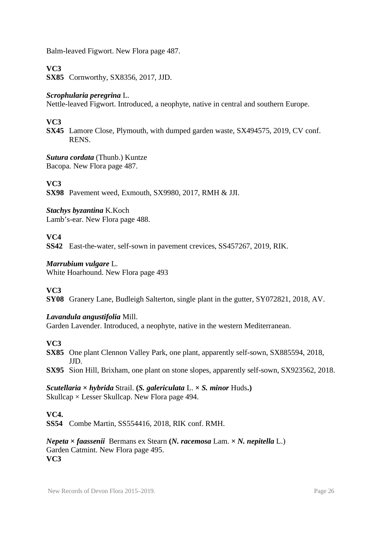Balm-leaved Figwort. New Flora page 487.

# **VC3**

**SX85** Cornworthy, SX8356, 2017, JJD.

### *Scrophularia peregrina* L.

Nettle-leaved Figwort. Introduced, a neophyte, native in central and southern Europe.

# **VC3**

**SX45** Lamore Close, Plymouth, with dumped garden waste, SX494575, 2019, CV conf. RENS.

*Sutura cordata* (Thunb.) Kuntze Bacopa. New Flora page 487.

# **VC3**

**SX98** Pavement weed, Exmouth, SX9980, 2017, RMH & JJI.

*Stachys byzantina* K.Koch Lamb's-ear. New Flora page 488.

### **VC4**

**SS42** East-the-water, self-sown in pavement crevices, SS457267, 2019, RIK.

#### *Marrubium vulgare* L.

White Hoarhound. New Flora page 493

### **VC3**

**SY08** Granery Lane, Budleigh Salterton, single plant in the gutter, SY072821, 2018, AV.

### *Lavandula angustifolia* Mill.

Garden Lavender. Introduced, a neophyte, native in the western Mediterranean.

#### **VC3**

**SX85** One plant Clennon Valley Park, one plant, apparently self-sown, SX885594, 2018, JJD.

**SX95** Sion Hill, Brixham, one plant on stone slopes, apparently self-sown, SX923562, 2018.

*Scutellaria* **×** *hybrida* Strail. **(***S. galericulata* L. **×** *S. minor* Huds**.)** Skullcap × Lesser Skullcap. New Flora page 494.

### **VC4.**

**SS54** Combe Martin, SS554416, 2018, RIK conf. RMH.

*Nepeta* **×** *faassenii*Bermans ex Stearn **(***N. racemosa* Lam. *× N. nepitella* L.) Garden Catmint. New Flora page 495. **VC3**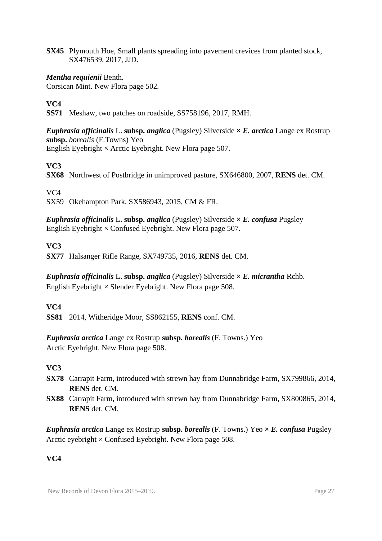**SX45** Plymouth Hoe, Small plants spreading into pavement crevices from planted stock, SX476539, 2017, JJD.

#### *Mentha requienii* Benth.

Corsican Mint. New Flora page 502.

#### **VC4**

**SS71** Meshaw, two patches on roadside, SS758196, 2017, RMH.

*Euphrasia officinalis* L. **subsp.** *anglica* (Pugsley) Silverside **×** *E. arctica* Lange ex Rostrup **subsp.** *borealis* (F.Towns) Yeo English Eyebright  $\times$  Arctic Eyebright. New Flora page 507.

### **VC3**

**SX68** Northwest of Postbridge in unimproved pasture, SX646800, 2007, **RENS** det. CM.

#### VC4

SX59 Okehampton Park, SX586943, 2015, CM & FR.

*Euphrasia officinalis* L. **subsp.** *anglica* (Pugsley) Silverside **×** *E. confusa* Pugsley English Eyebright  $\times$  Confused Eyebright. New Flora page 507.

### **VC3**

**SX77** Halsanger Rifle Range, SX749735, 2016, **RENS** det. CM.

*Euphrasia officinalis* L. **subsp.** *anglica* (Pugsley) Silverside **×** *E. micrantha* Rchb. English Eyebright  $\times$  Slender Eyebright. New Flora page 508.

#### **VC4**

**SS81** 2014, Witheridge Moor, SS862155, **RENS** conf. CM.

*Euphrasia arctica* Lange ex Rostrup **subsp.** *borealis* (F. Towns.) Yeo Arctic Eyebright. New Flora page 508.

### **VC3**

- **SX78** Carrapit Farm, introduced with strewn hay from Dunnabridge Farm, SX799866, 2014, **RENS** det. CM.
- **SX88** Carrapit Farm, introduced with strewn hay from Dunnabridge Farm, SX800865, 2014, **RENS** det. CM.

*Euphrasia arctica* Lange ex Rostrup subsp. *borealis* (F. Towns.) Yeo  $\times$  *E. confusa* Pugsley Arctic eyebright  $\times$  Confused Eyebright. New Flora page 508.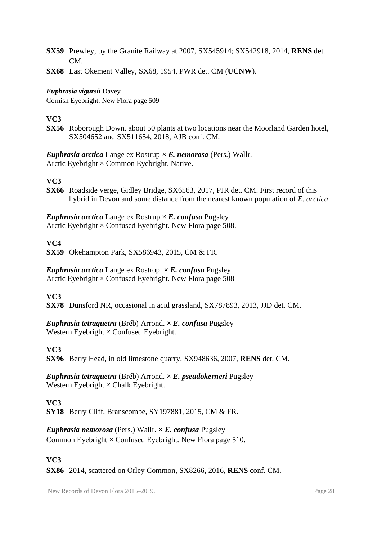- **SX59** Prewley, by the Granite Railway at 2007, SX545914; SX542918, 2014, **RENS** det. CM.
- **SX68** East Okement Valley, SX68, 1954, PWR det. CM (**UCNW**).

#### *Euphrasia vigursii* Davey

Cornish Eyebright. New Flora page 509

#### **VC3**

**SX56** Roborough Down, about 50 plants at two locations near the Moorland Garden hotel, SX504652 and SX511654, 2018, AJB conf. CM.

#### *Euphrasia arctica* Lange ex Rostrup **×** *E. nemorosa* (Pers.) Wallr. Arctic Eyebright  $\times$  Common Eyebright. Native.

### **VC3**

**SX66** Roadside verge, Gidley Bridge, SX6563, 2017, PJR det. CM. First record of this hybrid in Devon and some distance from the nearest known population of *E. arctica*.

*Euphrasia arctica* Lange ex Rostrup  $\times$  *E. confusa* Pugsley Arctic Eyebright  $\times$  Confused Eyebright. New Flora page 508.

#### **VC4**

**SX59** Okehampton Park, SX586943, 2015, CM & FR.

*Euphrasia arctica* Lange ex Rostrop. **×** *E. confusa* Pugsley Arctic Eyebright  $\times$  Confused Eyebright. New Flora page 508

#### **VC3**

**SX78** Dunsford NR, occasional in acid grassland, SX787893, 2013, JJD det. CM.

*Euphrasia tetraquetra* (Bréb) Arrond. **×** *E. confusa* Pugsley Western Eyebright  $\times$  Confused Eyebright.

### **VC3**

**SX96** Berry Head, in old limestone quarry, SX948636, 2007, **RENS** det. CM.

*Euphrasia tetraquetra* (Bréb) Arrond. × *E. pseudokerneri* Pugsley Western Eyebright  $\times$  Chalk Eyebright.

#### **VC3**

**SY18** Berry Cliff, Branscombe, SY197881, 2015, CM & FR.

### *Euphrasia nemorosa* (Pers.) Wallr. **×** *E. confusa* Pugsley

Common Eyebright  $\times$  Confused Eyebright. New Flora page 510.

#### **VC3**

**SX86** 2014, scattered on Orley Common, SX8266, 2016, **RENS** conf. CM.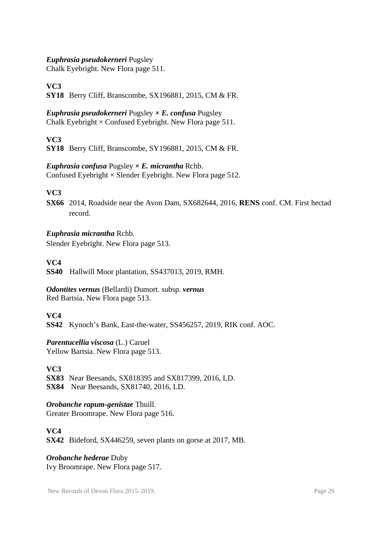#### *Euphrasia pseudokerneri* Pugsley

Chalk Eyebright. New Flora page 511.

**VC3**

**SY18** Berry Cliff, Branscombe, SX196881, 2015, CM & FR.

*Euphrasia pseudokerneri* Pugsley **×** *E. confusa* Pugsley Chalk Eyebright  $\times$  Confused Eyebright. New Flora page 511.

### **VC3**

**SY18** Berry Cliff, Branscombe, SY196881, 2015, CM & FR.

#### *Euphrasia confusa* Pugsley **×** *E. micrantha* Rchb.

Confused Eyebright  $\times$  Slender Eyebright. New Flora page 512.

### **VC3**

**SX66** 2014, Roadside near the Avon Dam, SX682644, 2016, **RENS** conf. CM. First hectad record.

#### *Euphrasia micrantha* Rchb.

Slender Eyebright. New Flora page 513.

#### **VC4**

**SS40** Hallwill Moor plantation, SS437013, 2019, RMH.

*Odontites vernus* (Bellardi) Dumort. subsp. *vernus* Red Bartsia. New Flora page 513.

### **VC4**

**SS42** Kynoch's Bank, East-the-water, SS456257, 2019, RIK conf. AOC.

#### *Parentucellia viscosa* (L.) Caruel

Yellow Bartsia. New Flora page 513.

#### **VC3**

**SX83** Near Beesands, SX818395 and SX817399, 2016, LD. **SX84** Near Beesands, SX81740, 2016, LD.

#### *Orobanche rapum-genistae* Thuill.

Greater Broomrape. New Flora page 516.

#### **VC4**

**SX42** Bideford, SX446259, seven plants on gorse at 2017, MB.

### *Orobanche hederae* Duby

Ivy Broomrape. New Flora page 517.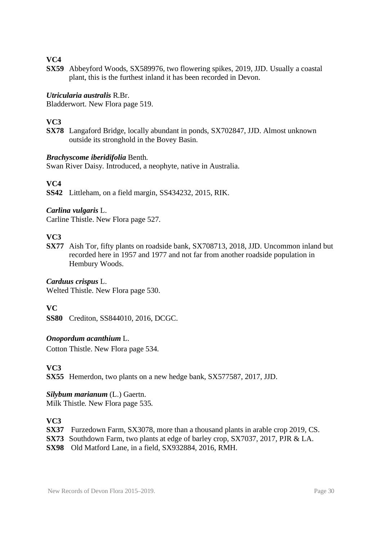**SX59** Abbeyford Woods, SX589976, two flowering spikes, 2019, JJD. Usually a coastal plant, this is the furthest inland it has been recorded in Devon.

#### *Utricularia australis* R.Br.

Bladderwort. New Flora page 519.

# **VC3**

**SX78** Langaford Bridge, locally abundant in ponds, SX702847, JJD. Almost unknown outside its stronghold in the Bovey Basin.

#### *Brachyscome iberidifolia* Benth.

Swan River Daisy. Introduced, a neophyte, native in Australia.

#### **VC4**

**SS42** Littleham, on a field margin, SS434232, 2015, RIK.

#### *Carlina vulgaris* L.

Carline Thistle. New Flora page 527.

# **VC3**

**SX77** Aish Tor, fifty plants on roadside bank, SX708713, 2018, JJD. Uncommon inland but recorded here in 1957 and 1977 and not far from another roadside population in Hembury Woods.

#### *Carduus crispus* L.

Welted Thistle. New Flora page 530.

#### **VC**

**SS80** Crediton, SS844010, 2016, DCGC.

#### *Onopordum acanthium* L.

Cotton Thistle. New Flora page 534.

**VC3**

**SX55** Hemerdon, two plants on a new hedge bank, SX577587, 2017, JJD.

# *Silybum marianum* (L.) Gaertn.

Milk Thistle. New Flora page 535.

- **SX37** Furzedown Farm, SX3078, more than a thousand plants in arable crop 2019, CS.
- **SX73** Southdown Farm, two plants at edge of barley crop, SX7037, 2017, PJR & LA.
- **SX98** Old Matford Lane, in a field, SX932884, 2016, RMH.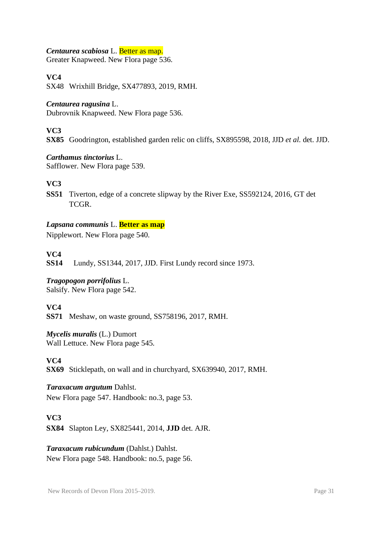#### *Centaurea scabiosa* L. Better as map.

Greater Knapweed. New Flora page 536.

### **VC4**

SX48 Wrixhill Bridge, SX477893, 2019, RMH.

#### *Centaurea ragusina* L.

Dubrovnik Knapweed. New Flora page 536.

#### **VC3**

**SX85** Goodrington, established garden relic on cliffs, SX895598, 2018, JJD *et al.* det. JJD.

#### *Carthamus tinctorius* L.

Safflower. New Flora page 539.

#### **VC3**

**SS51** Tiverton, edge of a concrete slipway by the River Exe, SS592124, 2016, GT det **TCGR** 

#### *Lapsana communis* L. **Better as map**

Nipplewort. New Flora page 540.

#### **VC4**

**SS14** Lundy, SS1344, 2017, JJD. First Lundy record since 1973.

# *Tragopogon porrifolius* L.

Salsify. New Flora page 542.

# **VC4**

**SS71** Meshaw, on waste ground, SS758196, 2017, RMH.

### *Mycelis muralis* (L.) Dumort

Wall Lettuce. New Flora page 545.

### **VC4**

**SX69** Sticklepath, on wall and in churchyard, SX639940, 2017, RMH.

# *Taraxacum argutum* Dahlst.

New Flora page 547. Handbook: no.3, page 53.

### **VC3**

**SX84** Slapton Ley, SX825441, 2014, **JJD** det. AJR.

#### *Taraxacum rubicundum* (Dahlst.) Dahlst.

New Flora page 548. Handbook: no.5, page 56.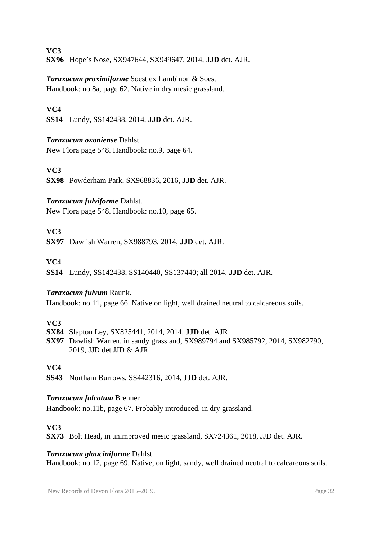**VC3 SX96** Hope's Nose, SX947644, SX949647, 2014, **JJD** det. AJR.

*Taraxacum proximiforme* Soest ex Lambinon & Soest Handbook: no.8a, page 62. Native in dry mesic grassland.

# **VC4**

**SS14** Lundy, SS142438, 2014, **JJD** det. AJR.

### *Taraxacum oxoniense* Dahlst.

New Flora page 548. Handbook: no.9, page 64.

# **VC3**

**SX98** Powderham Park, SX968836, 2016, **JJD** det. AJR.

### *Taraxacum fulviforme* Dahlst.

New Flora page 548. Handbook: no.10, page 65.

# **VC3**

**SX97** Dawlish Warren, SX988793, 2014, **JJD** det. AJR.

### **VC4**

**SS14** Lundy, SS142438, SS140440, SS137440; all 2014, **JJD** det. AJR.

### *Taraxacum fulvum* Raunk.

Handbook: no.11, page 66. Native on light, well drained neutral to calcareous soils.

### **VC3**

- **SX84** Slapton Ley, SX825441, 2014, 2014, **JJD** det. AJR
- **SX97** Dawlish Warren, in sandy grassland, SX989794 and SX985792, 2014, SX982790, 2019, JJD det JJD & AJR.

### **VC4**

**SS43** Northam Burrows, SS442316, 2014, **JJD** det. AJR.

#### *Taraxacum falcatum* Brenner

Handbook: no.11b, page 67. Probably introduced, in dry grassland.

# **VC3**

**SX73** Bolt Head, in unimproved mesic grassland, SX724361, 2018, JJD det. AJR.

#### *Taraxacum glauciniforme* Dahlst.

Handbook: no.12, page 69. Native, on light, sandy, well drained neutral to calcareous soils.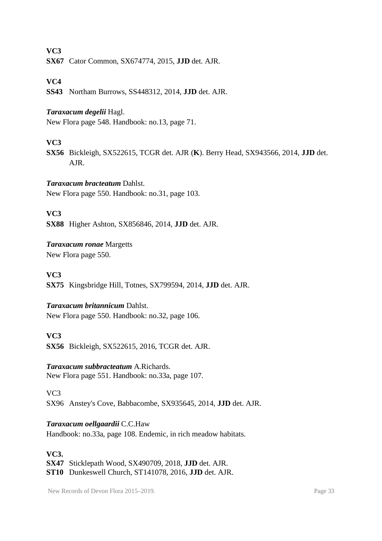**SX67** Cator Common, SX674774, 2015, **JJD** det. AJR.

#### **VC4**

**SS43** Northam Burrows, SS448312, 2014, **JJD** det. AJR.

#### *Taraxacum degelii* Hagl.

New Flora page 548. Handbook: no.13, page 71.

#### **VC3**

**SX56** Bickleigh, SX522615, TCGR det. AJR (**K**). Berry Head, SX943566, 2014, **JJD** det. AJR.

#### *Taraxacum bracteatum* Dahlst.

New Flora page 550. Handbook: no.31, page 103.

#### **VC3**

**SX88** Higher Ashton, SX856846, 2014, **JJD** det. AJR.

#### *Taraxacum ronae* Margetts

New Flora page 550.

#### **VC3**

**SX75** Kingsbridge Hill, Totnes, SX799594, 2014, **JJD** det. AJR.

#### *Taraxacum britannicum* Dahlst.

New Flora page 550. Handbook: no.32, page 106.

#### **VC3**

**SX56** Bickleigh, SX522615, 2016, TCGR det. AJR.

#### *Taraxacum subbracteatum* A.Richards.

New Flora page 551. Handbook: no.33a, page 107.

VC3

SX96 Anstey's Cove, Babbacombe, SX935645, 2014, **JJD** det. AJR.

#### *Taraxacum oellgaardii* C.C.Haw

Handbook: no.33a, page 108. Endemic, in rich meadow habitats.

#### **VC3.**

**SX47** Sticklepath Wood, SX490709, 2018, **JJD** det. AJR. **ST10** Dunkeswell Church, ST141078, 2016, **JJD** det. AJR.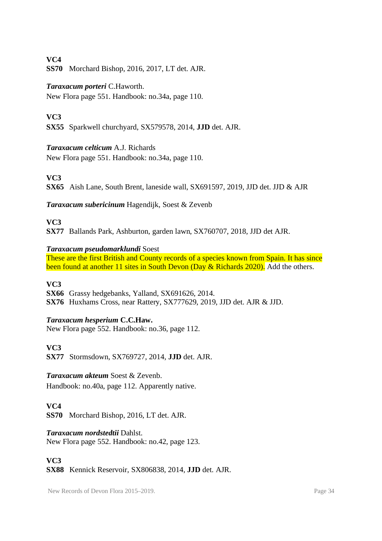**SS70** Morchard Bishop, 2016, 2017, LT det. AJR.

#### *Taraxacum porteri* C.Haworth.

New Flora page 551. Handbook: no.34a, page 110.

#### **VC3**

**SX55** Sparkwell churchyard, SX579578, 2014, **JJD** det. AJR.

#### *Taraxacum celticum* A.J. Richards

New Flora page 551. Handbook: no.34a, page 110.

### **VC3**

**SX65** Aish Lane, South Brent, laneside wall, SX691597, 2019, JJD det. JJD & AJR

*Taraxacum subericinum* Hagendijk, Soest & Zevenb

#### **VC3**

**SX77** Ballands Park, Ashburton, garden lawn, SX760707, 2018, JJD det AJR.

#### *Taraxacum pseudomarklundi* Soest

These are the first British and County records of a species known from Spain. It has since been found at another 11 sites in South Devon (Day & Richards 2020). Add the others.

#### **VC3**

**SX66** Grassy hedgebanks, Yalland, SX691626, 2014. **SX76** Huxhams Cross, near Rattery, SX777629, 2019, JJD det. AJR & JJD.

### *Taraxacum hesperium* **C.C.Haw.**

New Flora page 552. Handbook: no.36, page 112.

### **VC3**

**SX77** Stormsdown, SX769727, 2014, **JJD** det. AJR.

#### *Taraxacum akteum* Soest & Zevenb.

Handbook: no.40a, page 112. Apparently native.

### **VC4**

**SS70** Morchard Bishop, 2016, LT det. AJR.

#### *Taraxacum nordstedtii* Dahlst.

New Flora page 552. Handbook: no.42, page 123.

### **VC3**

**SX88** Kennick Reservoir, SX806838, 2014, **JJD** det. AJR.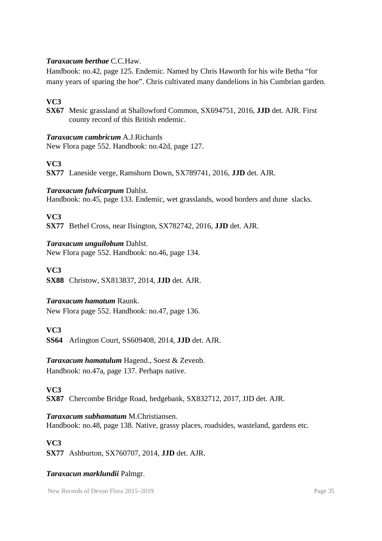#### *Taraxacum berthae* C.C.Haw.

Handbook: no.42, page 125. Endemic. Named by Chris Haworth for his wife Betha "for many years of sparing the hoe". Chris cultivated many dandelions in his Cumbrian garden.

# **VC3**

**SX67** Mesic grassland at Shallowford Common, SX694751, 2016, **JJD** det. AJR. First county record of this British endemic.

#### *Taraxacum cambricum* A.J.Richards

New Flora page 552. Handbook: no.42d, page 127.

### **VC3**

**SX77** Laneside verge, Ramshorn Down, SX789741, 2016, **JJD** det. AJR.

#### *Taraxacum fulvicarpum* Dahlst.

Handbook: no.45, page 133. Endemic, wet grasslands, wood borders and dune slacks.

#### **VC3**

**SX77** Bethel Cross, near Ilsington, SX782742, 2016, **JJD** det. AJR.

#### *Taraxacum unguilobum* Dahlst.

New Flora page 552. Handbook: no.46, page 134.

#### **VC3**

**SX88** Christow, SX813837, 2014, **JJD** det. AJR.

### *Taraxacum hamatum* Raunk.

New Flora page 552. Handbook: no.47, page 136.

### **VC3**

**SS64** Arlington Court, SS609408, 2014, **JJD** det. AJR.

# *Taraxacum hamatulum* Hagend., Soest & Zevenb.

Handbook: no.47a, page 137. Perhaps native.

**VC3**

**SX87** Chercombe Bridge Road, hedgebank, SX832712, 2017, JJD det. AJR.

#### *Taraxacum subhamatum* M.Christiansen.

Handbook: no.48, page 138. Native, grassy places, roadsides, wasteland, gardens etc.

### **VC3**

**SX77** Ashburton, SX760707, 2014, **JJD** det. AJR.

#### *Taraxacun marklundii* Palmgr.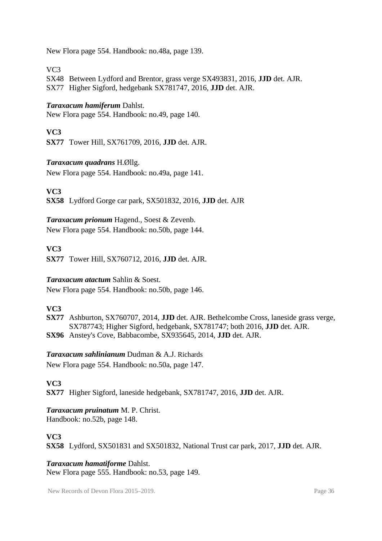New Flora page 554. Handbook: no.48a, page 139.

 $VC<sub>3</sub>$ 

SX48 Between Lydford and Brentor, grass verge SX493831, 2016, **JJD** det. AJR. SX77 Higher Sigford, hedgebank SX781747, 2016, **JJD** det. AJR.

#### *Taraxacum hamiferum* Dahlst.

New Flora page 554. Handbook: no.49, page 140.

#### **VC3**

**SX77** Tower Hill, SX761709, 2016, **JJD** det. AJR.

#### *Taraxacum quadrans* H.Øllg.

New Flora page 554. Handbook: no.49a, page 141.

**VC3**

**SX58** Lydford Gorge car park, SX501832, 2016, **JJD** det. AJR

#### *Taraxacum prionum* Hagend., Soest & Zevenb.

New Flora page 554. Handbook: no.50b, page 144.

#### **VC3**

**SX77** Tower Hill, SX760712, 2016, **JJD** det. AJR.

#### *Taraxacum atactum* Sahlin & Soest.

New Flora page 554. Handbook: no.50b, page 146.

#### **VC3**

**SX77** Ashburton, SX760707, 2014, **JJD** det. AJR. Bethelcombe Cross, laneside grass verge, SX787743; Higher Sigford, hedgebank, SX781747; both 2016, **JJD** det. AJR. **SX96** Anstey's Cove, Babbacombe, SX935645, 2014, **JJD** det. AJR.

### *Taraxacum sahlinianum* Dudman & A.J. Richards

New Flora page 554. Handbook: no.50a, page 147.

### **VC3**

**SX77** Higher Sigford, laneside hedgebank, SX781747, 2016, **JJD** det. AJR.

### *Taraxacum pruinatum* M. P. Christ.

Handbook: no.52b, page 148.

### **VC3**

**SX58** Lydford, SX501831 and SX501832, National Trust car park, 2017, **JJD** det. AJR.

#### *Taraxacum hamatiforme* Dahlst.

New Flora page 555. Handbook: no.53, page 149.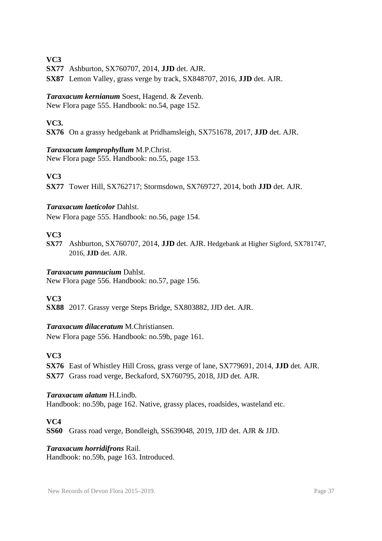**SX77** Ashburton, SX760707, 2014, **JJD** det. AJR.

**SX87** Lemon Valley, grass verge by track, SX848707, 2016, **JJD** det. AJR.

#### *Taraxacum kernianum* Soest, Hagend. & Zevenb.

New Flora page 555. Handbook: no.54, page 152.

#### **VC3.**

**SX76** On a grassy hedgebank at Pridhamsleigh, SX751678, 2017, **JJD** det. AJR.

#### *Taraxacum lamprophyllum* M.P.Christ.

New Flora page 555. Handbook: no.55, page 153.

#### **VC3**

**SX77** Tower Hill, SX762717; Stormsdown, SX769727, 2014, both **JJD** det. AJR.

#### *Taraxacum laeticolor* Dahlst.

New Flora page 555. Handbook: no.56, page 154.

#### **VC3**

**SX77** Ashburton, SX760707, 2014, **JJD** det. AJR. Hedgebank at Higher Sigford, SX781747, 2016, **JJD** det. AJR.

#### *Taraxacum pannucium* Dahlst.

New Flora page 556. Handbook: no.57, page 156.

#### **VC3**

**SX88** 2017. Grassy verge Steps Bridge, SX803882, JJD det. AJR.

#### *Taraxacum dilaceratum* M.Christiansen.

New Flora page 556. Handbook: no.59b, page 161.

### **VC3**

**SX76** East of Whistley Hill Cross, grass verge of lane, SX779691, 2014, **JJD** det. AJR. **SX77** Grass road verge, Beckaford, SX760795, 2018, JJD det. AJR.

#### *Taraxacum alatum* H.Lindb.

Handbook: no.59b, page 162. Native, grassy places, roadsides, wasteland etc.

**VC4**

**SS60** Grass road verge, Bondleigh, SS639048, 2019, JJD det. AJR & JJD.

#### *Taraxacum horridifrons* Rail.

Handbook: no.59b, page 163. Introduced.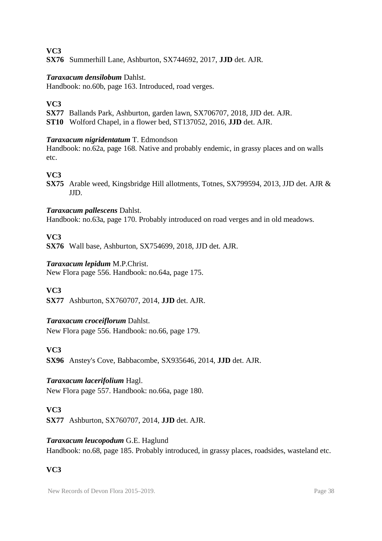**SX76** Summerhill Lane, Ashburton, SX744692, 2017, **JJD** det. AJR.

#### *Taraxacum densilobum* Dahlst.

Handbook: no.60b, page 163. Introduced, road verges.

#### **VC3**

**SX77** Ballands Park, Ashburton, garden lawn, SX706707, 2018, JJD det. AJR.

**ST10** Wolford Chapel, in a flower bed, ST137052, 2016, **JJD** det. AJR.

#### *Taraxacum nigridentatum* T. Edmondson

Handbook: no.62a, page 168. Native and probably endemic, in grassy places and on walls etc.

### **VC3**

**SX75** Arable weed, Kingsbridge Hill allotments, Totnes, SX799594, 2013, JJD det. AJR & JJD.

#### *Taraxacum pallescens* Dahlst.

Handbook: no.63a, page 170. Probably introduced on road verges and in old meadows.

### **VC3**

**SX76** Wall base, Ashburton, SX754699, 2018, JJD det. AJR.

#### *Taraxacum lepidum* M.P.Christ.

New Flora page 556. Handbook: no.64a, page 175.

### **VC3**

**SX77** Ashburton, SX760707, 2014, **JJD** det. AJR.

### *Taraxacum croceiflorum* Dahlst.

New Flora page 556. Handbook: no.66, page 179.

### **VC3**

**SX96** Anstey's Cove, Babbacombe, SX935646, 2014, **JJD** det. AJR.

### *Taraxacum lacerifolium* Hagl.

New Flora page 557. Handbook: no.66a, page 180.

#### **VC3**

**SX77** Ashburton, SX760707, 2014, **JJD** det. AJR.

#### *Taraxacum leucopodum* G.E. Haglund

Handbook: no.68, page 185. Probably introduced, in grassy places, roadsides, wasteland etc.

### **VC3**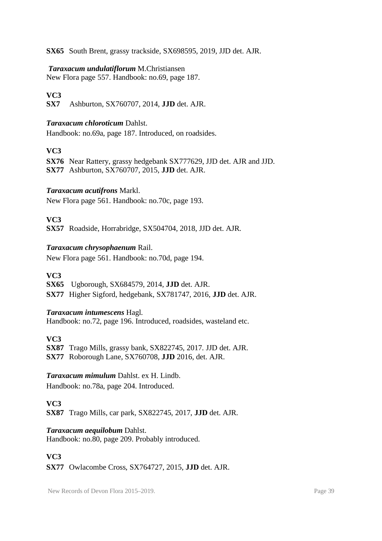**SX65** South Brent, grassy trackside, SX698595, 2019, JJD det. AJR.

#### *Taraxacum undulatiflorum* M.Christiansen

New Flora page 557. Handbook: no.69, page 187.

# **VC3**

**SX7** Ashburton, SX760707, 2014, **JJD** det. AJR.

#### *Taraxacum chloroticum* Dahlst.

Handbook: no.69a, page 187. Introduced, on roadsides.

### **VC3**

**SX76** Near Rattery, grassy hedgebank SX777629, JJD det. AJR and JJD. **SX77** Ashburton, SX760707, 2015, **JJD** det. AJR.

### *Taraxacum acutifrons* Markl.

New Flora page 561. Handbook: no.70c, page 193.

### **VC3**

**SX57** Roadside, Horrabridge, SX504704, 2018, JJD det. AJR.

#### *Taraxacum chrysophaenum* Rail.

New Flora page 561. Handbook: no.70d, page 194.

#### **VC3**

**SX65** Ugborough, SX684579, 2014, **JJD** det. AJR.

**SX77** Higher Sigford, hedgebank, SX781747, 2016, **JJD** det. AJR.

#### *Taraxacum intumescens* Hagl.

Handbook: no.72, page 196. Introduced, roadsides, wasteland etc.

**VC3**

**SX87** Trago Mills, grassy bank, SX822745, 2017. JJD det. AJR.

**SX77** Roborough Lane, SX760708, **JJD** 2016, det. AJR.

#### *Taraxacum mimulum* Dahlst. ex H. Lindb.

Handbook: no.78a, page 204. Introduced.

### **VC3**

**SX87** Trago Mills, car park, SX822745, 2017, **JJD** det. AJR.

### *Taraxacum aequilobum* Dahlst.

Handbook: no.80, page 209. Probably introduced.

### **VC3**

**SX77** Owlacombe Cross, SX764727, 2015, **JJD** det. AJR.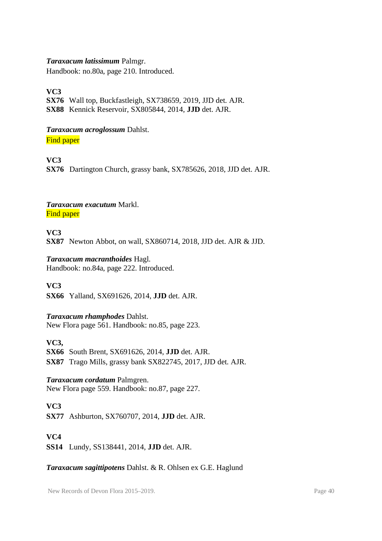#### *Taraxacum latissimum* Palmgr.

Handbook: no.80a, page 210. Introduced.

**VC3**

**SX76** Wall top, Buckfastleigh, SX738659, 2019, JJD det. AJR. **SX88** Kennick Reservoir, SX805844, 2014, **JJD** det. AJR.

#### *Taraxacum acroglossum* Dahlst.

**Find paper** 

**VC3**

**SX76** Dartington Church, grassy bank, SX785626, 2018, JJD det. AJR.

#### *Taraxacum exacutum* Markl. **Find paper**

**VC3 SX87** Newton Abbot, on wall, SX860714, 2018, JJD det. AJR & JJD.

#### *Taraxacum macranthoides* Hagl.

Handbook: no.84a, page 222. Introduced.

**VC3**

**SX66** Yalland, SX691626, 2014, **JJD** det. AJR.

### *Taraxacum rhamphodes* Dahlst.

New Flora page 561. Handbook: no.85, page 223.

**VC3,** 

**SX66** South Brent, SX691626, 2014, **JJD** det. AJR. **SX87** Trago Mills, grassy bank SX822745, 2017, JJD det. AJR.

### *Taraxacum cordatum* Palmgren.

New Flora page 559. Handbook: no.87, page 227.

### **VC3**

**SX77** Ashburton, SX760707, 2014, **JJD** det. AJR.

### **VC4**

**SS14** Lundy, SS138441, 2014, **JJD** det. AJR.

#### *Taraxacum sagittipotens* Dahlst. & R. Ohlsen ex G.E. Haglund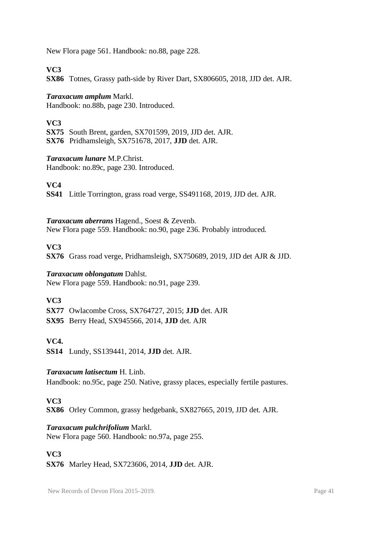New Flora page 561. Handbook: no.88, page 228.

#### **VC3**

**SX86** Totnes, Grassy path-side by River Dart, SX806605, 2018, JJD det. AJR.

#### *Taraxacum amplum* Markl.

Handbook: no.88b, page 230. Introduced.

### **VC3**

**SX75** South Brent, garden, SX701599, 2019, JJD det. AJR. **SX76** Pridhamsleigh, SX751678, 2017, **JJD** det. AJR.

#### *Taraxacum lunare* M.P.Christ.

Handbook: no.89c, page 230. Introduced.

**VC4**

**SS41** Little Torrington, grass road verge, SS491168, 2019, JJD det. AJR.

#### *Taraxacum aberrans* Hagend., Soest & Zevenb.

New Flora page 559. Handbook: no.90, page 236. Probably introduced.

### **VC3**

**SX76** Grass road verge, Pridhamsleigh, SX750689, 2019, JJD det AJR & JJD.

#### *Taraxacum oblongatum* Dahlst.

New Flora page 559. Handbook: no.91, page 239.

#### **VC3**

**SX77** Owlacombe Cross, SX764727, 2015; **JJD** det. AJR

**SX95** Berry Head, SX945566, 2014, **JJD** det. AJR

### **VC4.**

**SS14** Lundy, SS139441, 2014, **JJD** det. AJR.

#### *Taraxacum latisectum* H. Linb.

Handbook: no.95c, page 250. Native, grassy places, especially fertile pastures.

### **VC3**

**SX86** Orley Common, grassy hedgebank, SX827665, 2019, JJD det. AJR.

### *Taraxacum pulchrifolium* Markl.

New Flora page 560. Handbook: no.97a, page 255.

#### **VC3**

**SX76** Marley Head, SX723606, 2014, **JJD** det. AJR.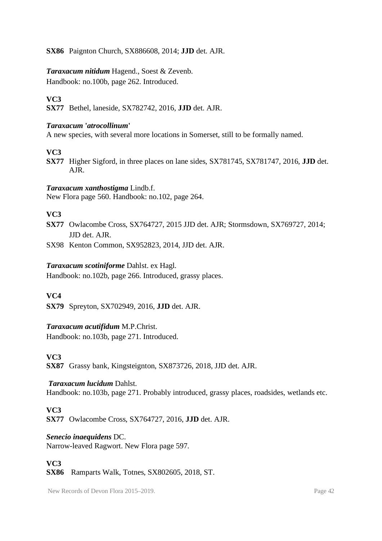**SX86** Paignton Church, SX886608, 2014; **JJD** det. AJR.

# *Taraxacum nitidum* Hagend., Soest & Zevenb.

Handbook: no.100b, page 262. Introduced.

# **VC3**

**SX77** Bethel, laneside, SX782742, 2016, **JJD** det. AJR.

#### *Taraxacum* **'***atrocollinum***'**

A new species, with several more locations in Somerset, still to be formally named.

### **VC3**

**SX77** Higher Sigford, in three places on lane sides, SX781745, SX781747, 2016, **JJD** det. AJR.

#### *Taraxacum xanthostigma* Lindb.f.

New Flora page 560. Handbook: no.102, page 264.

# **VC3**

**SX77** Owlacombe Cross, SX764727, 2015 JJD det. AJR; Stormsdown, SX769727, 2014; JJD det. AJR.

SX98 Kenton Common, SX952823, 2014, JJD det. AJR.

#### *Taraxacum scotiniforme* Dahlst. ex Hagl.

Handbook: no.102b, page 266. Introduced, grassy places.

### **VC4**

**SX79** Spreyton, SX702949, 2016, **JJD** det. AJR.

### *Taraxacum acutifidum* M.P.Christ.

Handbook: no.103b, page 271. Introduced.

### **VC3**

**SX87** Grassy bank, Kingsteignton, SX873726, 2018, JJD det. AJR.

### *Taraxacum lucidum* Dahlst.

Handbook: no.103b, page 271. Probably introduced, grassy places, roadsides, wetlands etc.

# **VC3**

**SX77** Owlacombe Cross, SX764727, 2016, **JJD** det. AJR.

### *Senecio inaequidens* DC.

Narrow-leaved Ragwort. New Flora page 597.

# **VC3**

**SX86** Ramparts Walk, Totnes, SX802605, 2018, ST.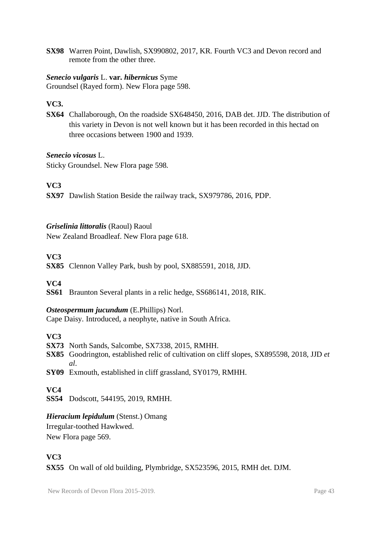**SX98** Warren Point, Dawlish, SX990802, 2017, KR. Fourth VC3 and Devon record and remote from the other three.

#### *Senecio vulgaris* L. **var.** *hibernicus* Syme

Groundsel (Rayed form). New Flora page 598.

### **VC3.**

**SX64** Challaborough, On the roadside SX648450, 2016, DAB det. JJD. The distribution of this variety in Devon is not well known but it has been recorded in this hectad on three occasions between 1900 and 1939.

#### *Senecio vicosus* L.

Sticky Groundsel. New Flora page 598.

### **VC3**

**SX97** Dawlish Station Beside the railway track, SX979786, 2016, PDP.

#### *Griselinia littoralis* (Raoul) Raoul

New Zealand Broadleaf. New Flora page 618.

### **VC3**

**SX85** Clennon Valley Park, bush by pool, SX885591, 2018, JJD.

### **VC4**

**SS61** Braunton Several plants in a relic hedge, SS686141, 2018, RIK.

#### *Osteospermum jucundum* (E.Phillips) Norl.

Cape Daisy. Introduced, a neophyte, native in South Africa.

### **VC3**

- **SX73** North Sands, Salcombe, SX7338, 2015, RMHH.
- **SX85** Goodrington, established relic of cultivation on cliff slopes, SX895598, 2018, JJD *et al*.
- **SY09** Exmouth, established in cliff grassland, SY0179, RMHH.

### **VC4**

**SS54** Dodscott, 544195, 2019, RMHH.

### *Hieracium lepidulum* (Stenst.) Omang

Irregular-toothed Hawkwed. New Flora page 569.

### **VC3**

**SX55** On wall of old building, Plymbridge, SX523596, 2015, RMH det. DJM.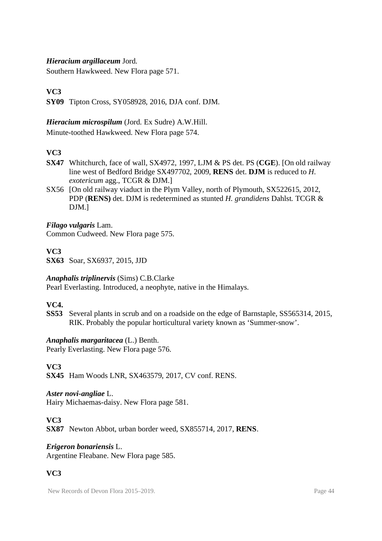#### *Hieracium argillaceum* Jord.

Southern Hawkweed. New Flora page 571.

# **VC3**

**SY09** Tipton Cross, SY058928, 2016, DJA conf. DJM.

#### *Hieracium microspilum* (Jord. Ex Sudre) A.W.Hill.

Minute-toothed Hawkweed. New Flora page 574.

# **VC3**

- **SX47** Whitchurch, face of wall, SX4972, 1997, LJM & PS det. PS (**CGE**). [On old railway line west of Bedford Bridge SX497702, 2009, **RENS** det. **DJM** is reduced to *H. exotericum* agg., TCGR & DJM.]
- SX56 [On old railway viaduct in the Plym Valley, north of Plymouth, SX522615, 2012, PDP (**RENS)** det. DJM is redetermined as stunted *H. grandidens* Dahlst. TCGR & DJM.]

*Filago vulgaris* Lam. Common Cudweed. New Flora page 575.

### **VC3**

**SX63** Soar, SX6937, 2015, JJD

#### *Anaphalis triplinervis* (Sims) C.B.Clarke

Pearl Everlasting. Introduced, a neophyte, native in the Himalays.

### **VC4.**

**SS53** Several plants in scrub and on a roadside on the edge of Barnstaple, SS565314, 2015, RIK. Probably the popular horticultural variety known as 'Summer-snow'.

#### *Anaphalis margaritacea* (L.) Benth.

Pearly Everlasting. New Flora page 576.

#### **VC3**

**SX45** Ham Woods LNR, SX463579, 2017, CV conf. RENS.

#### *Aster novi-angliae* L.

Hairy Michaemas-daisy. New Flora page 581.

### **VC3**

**SX87** Newton Abbot, urban border weed, SX855714, 2017, **RENS**.

#### *Erigeron bonariensis* L.

Argentine Fleabane. New Flora page 585.

# **VC3**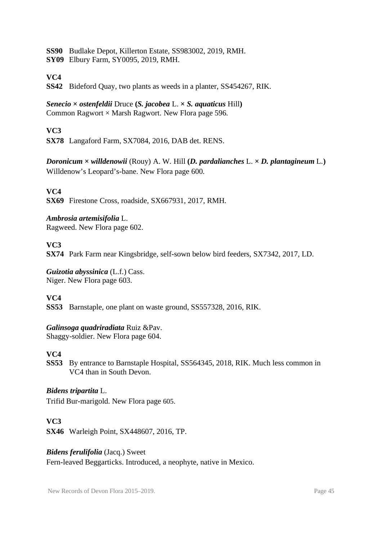**SS90** Budlake Depot, Killerton Estate, SS983002, 2019, RMH.

**SY09** Elbury Farm, SY0095, 2019, RMH.

# **VC4**

**SS42** Bideford Quay, two plants as weeds in a planter, SS454267, RIK.

#### *Senecio* **×** *ostenfeldii* Druce **(***S. jacobea* L. **×** *S. aquaticus* Hill**)** Common Ragwort  $\times$  Marsh Ragwort. New Flora page 596.

# **VC3**

**SX78** Langaford Farm, SX7084, 2016, DAB det. RENS.

*Doronicum*  $\times$  *willdenowii* (Rouy) A. W. Hill (*D. pardalianches* L.  $\times$  *D. plantagineum* L.) Willdenow's Leopard's-bane. New Flora page 600.

# **VC4**

**SX69** Firestone Cross, roadside, SX667931, 2017, RMH.

### *Ambrosia artemisifolia* L.

Ragweed. New Flora page 602.

#### **VC3**

**SX74** Park Farm near Kingsbridge, self-sown below bird feeders, SX7342, 2017, LD.

*Guizotia abyssinica* (L.f.) Cass. Niger. New Flora page 603.

### **VC4**

**SS53** Barnstaple, one plant on waste ground, SS557328, 2016, RIK.

### *Galinsoga quadriradiata* Ruiz &Pav.

Shaggy-soldier. New Flora page 604.

### **VC4**

**SS53** By entrance to Barnstaple Hospital, SS564345, 2018, RIK. Much less common in VC4 than in South Devon.

### *Bidens tripartita* L.

Trifid Bur-marigold. New Flora page 605.

### **VC3**

**SX46** Warleigh Point, SX448607, 2016, TP.

#### *Bidens ferulifolia* (Jacq.) Sweet

Fern-leaved Beggarticks. Introduced, a neophyte, native in Mexico.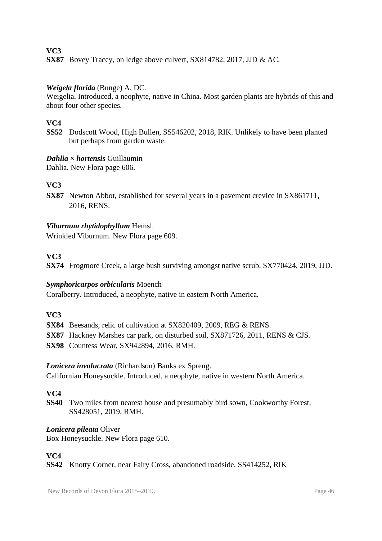**SX87** Bovey Tracey, on ledge above culvert, SX814782, 2017, JJD & AC.

#### *Weigela florida* (Bunge) A. DC.

Weigelia. Introduced, a neophyte, native in China. Most garden plants are hybrids of this and about four other species.

# **VC4**

**SS52** Dodscott Wood, High Bullen, SS546202, 2018, RIK. Unlikely to have been planted but perhaps from garden waste.

#### *Dahlia* **×** *hortensis* Guillaumin

Dahlia. New Flora page 606.

### **VC3**

**SX87** Newton Abbot, established for several years in a pavement crevice in SX861711, 2016, RENS.

#### *Viburnum rhytidophyllum* Hemsl.

Wrinkled Viburnum. New Flora page 609.

#### **VC3**

**SX74** Frogmore Creek, a large bush surviving amongst native scrub, SX770424, 2019, JJD.

#### *Symphoricarpos orbicularis* Moench

Coralberry. Introduced, a neophyte, native in eastern North America.

### **VC3**

**SX84** Beesands, relic of cultivation at SX820409, 2009, REG & RENS.

**SX87** Hackney Marshes car park, on disturbed soil, SX871726, 2011, RENS & CJS.

**SX98** Countess Wear, SX942894, 2016, RMH.

### *Lonicera involucrata* (Richardson) Banks ex Spreng.

Californian Honeysuckle. Introduced, a neophyte, native in western North America.

### **VC4**

**SS40** Two miles from nearest house and presumably bird sown, Cookworthy Forest, SS428051, 2019, RMH.

#### *Lonicera pileata* Oliver

Box Honeysuckle. New Flora page 610.

### **VC4**

**SS42** Knotty Corner, near Fairy Cross, abandoned roadside, SS414252, RIK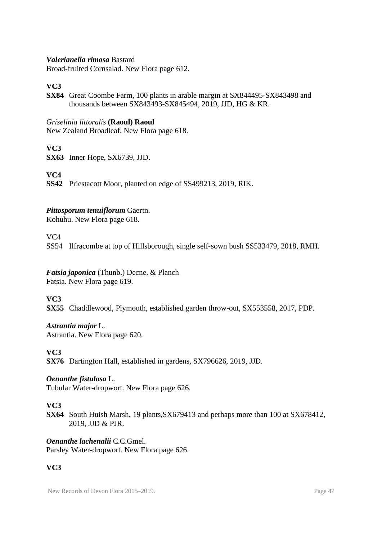#### *Valerianella rimosa* Bastard

Broad-fruited Cornsalad. New Flora page 612.

#### **VC3**

**SX84** Great Coombe Farm, 100 plants in arable margin at SX844495-SX843498 and thousands between SX843493-SX845494, 2019, JJD, HG & KR.

#### *Griselinia littoralis* **(Raoul) Raoul**

New Zealand Broadleaf. New Flora page 618.

#### **VC3**

**SX63** Inner Hope, SX6739, JJD.

#### **VC4**

**SS42** Priestacott Moor, planted on edge of SS499213, 2019, RIK.

#### *Pittosporum tenuiflorum* Gaertn.

Kohuhu. New Flora page 618.

#### $V<sub>C4</sub>$

SS54 Ilfracombe at top of Hillsborough, single self-sown bush SS533479, 2018, RMH.

#### *Fatsia japonica* (Thunb.) Decne. & Planch Fatsia. New Flora page 619.

#### **VC3**

**SX55** Chaddlewood, Plymouth, established garden throw-out, SX553558, 2017, PDP.

*Astrantia major* L. Astrantia. New Flora page 620.

#### **VC3**

**SX76** Dartington Hall, established in gardens, SX796626, 2019, JJD.

#### *Oenanthe fistulosa* L.

Tubular Water-dropwort. New Flora page 626.

#### **VC3**

**SX64** South Huish Marsh, 19 plants,SX679413 and perhaps more than 100 at SX678412, 2019, JJD & PJR.

*Oenanthe lachenalii* C.C.Gmel. Parsley Water-dropwort. New Flora page 626.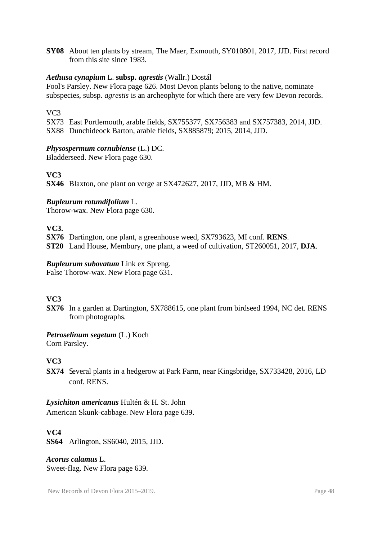**SY08** About ten plants by stream, The Maer, Exmouth, SY010801, 2017, JJD. First record from this site since 1983.

#### *Aethusa cynapium* L. **subsp.** *agrestis* (Wallr.) Dostál

Fool's Parsley. New Flora page 626. Most Devon plants belong to the native, nominate subspecies, subsp. *agrestis* is an archeophyte for which there are very few Devon records.

### VC3

SX73 East Portlemouth, arable fields, SX755377, SX756383 and SX757383, 2014, JJD. SX88 Dunchideock Barton, arable fields, SX885879; 2015, 2014, JJD.

### *Physospermum cornubiense* (L.) DC.

Bladderseed. New Flora page 630.

# **VC3**

**SX46** Blaxton, one plant on verge at SX472627, 2017, JJD, MB & HM.

### *Bupleurum rotundifolium* L.

Thorow-wax. New Flora page 630.

**VC3.** 

**SX76** Dartington, one plant, a greenhouse weed, SX793623, MI conf. **RENS**.

**ST20** Land House, Membury, one plant, a weed of cultivation, ST260051, 2017, **DJA**.

#### *Bupleurum subovatum* Link ex Spreng.

False Thorow-wax. New Flora page 631.

### **VC3**

**SX76** In a garden at Dartington, SX788615, one plant from birdseed 1994, NC det. RENS from photographs.

### *Petroselinum segetum* (L.) Koch

Corn Parsley.

# **VC3**

**SX74** Several plants in a hedgerow at Park Farm, near Kingsbridge, SX733428, 2016, LD conf. RENS.

#### *Lysichiton americanus* Hultén & H. St. John

American Skunk-cabbage. New Flora page 639.

### **VC4**

**SS64** Arlington, SS6040, 2015, JJD.

#### *Acorus calamus* L. Sweet-flag. New Flora page 639.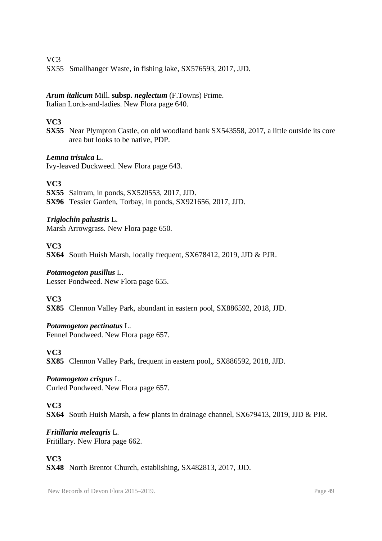SX55 Smallhanger Waste, in fishing lake, SX576593, 2017, JJD.

# *Arum italicum* Mill. **subsp.** *neglectum* (F.Towns) Prime.

Italian Lords-and-ladies. New Flora page 640.

# **VC3**

**SX55** Near Plympton Castle, on old woodland bank SX543558, 2017, a little outside its core area but looks to be native, PDP.

#### *Lemna trisulca* L.

Ivy-leaved Duckweed. New Flora page 643.

# **VC3**

**SX55** Saltram, in ponds, SX520553, 2017, JJD. **SX96** Tessier Garden, Torbay, in ponds, SX921656, 2017, JJD.

### *Triglochin palustris* L.

Marsh Arrowgrass. New Flora page 650.

### **VC3**

**SX64** South Huish Marsh, locally frequent, SX678412, 2019, JJD & PJR.

### *Potamogeton pusillus* L.

Lesser Pondweed. New Flora page 655.

### **VC3**

**SX85** Clennon Valley Park, abundant in eastern pool, SX886592, 2018, JJD.

### *Potamogeton pectinatus* L.

Fennel Pondweed. New Flora page 657.

### **VC3**

**SX85** Clennon Valley Park, frequent in eastern pool,, SX886592, 2018, JJD.

### *Potamogeton crispus* L.

Curled Pondweed. New Flora page 657.

### **VC3**

**SX64** South Huish Marsh, a few plants in drainage channel, SX679413, 2019, JJD & PJR.

# *Fritillaria meleagris* L.

Fritillary. New Flora page 662.

### **VC3**

**SX48** North Brentor Church, establishing, SX482813, 2017, JJD.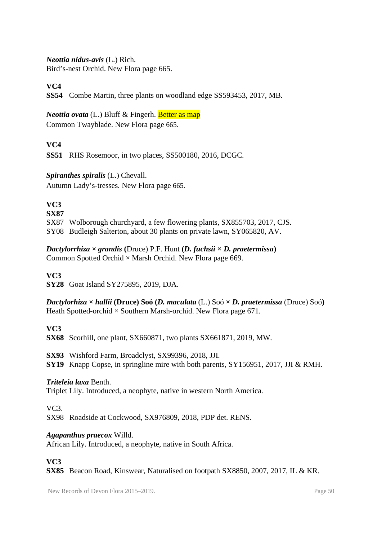#### *Neottia nidus-avis* (L.) Rich.

Bird's-nest Orchid. New Flora page 665.

#### **VC4**

**SS54** Combe Martin, three plants on woodland edge SS593453, 2017, MB.

*Neottia ovata* (L.) Bluff & Fingerh. **Better as map** Common Twayblade. New Flora page 665.

# **VC4**

**SS51** RHS Rosemoor, in two places, SS500180, 2016, DCGC.

#### *Spiranthes spiralis* (L.) Chevall.

Autumn Lady's-tresses. New Flora page 665.

# **VC3**

**SX87** SX87 Wolborough churchyard, a few flowering plants, SX855703, 2017, CJS. SY08 Budleigh Salterton, about 30 plants on private lawn, SY065820, AV.

*Dactylorrhiza*  $\times$  *grandis* (Druce) P.F. Hunt (*D. fuchsii*  $\times$  *D. praetermissa*) Common Spotted Orchid  $\times$  Marsh Orchid. New Flora page 669.

#### **VC3**

**SY28** Goat Island SY275895, 2019, DJA.

*Dactylorhiza* **×** *hallii* **(Druce) Soó (***D. maculata* (L.) Soó **×** *D. praetermissa* (Druce) Soó**)** Heath Spotted-orchid  $\times$  Southern Marsh-orchid. New Flora page 671.

### **VC3**

**SX68** Scorhill, one plant, SX660871, two plants SX661871, 2019, MW.

**SX93** Wishford Farm, Broadclyst, SX99396, 2018, JJI. **SY19** Knapp Copse, in springline mire with both parents, SY156951, 2017, JJI & RMH.

#### *Triteleia laxa* Benth.

Triplet Lily. Introduced, a neophyte, native in western North America.

 $VC<sub>3</sub>$ 

SX98 Roadside at Cockwood, SX976809, 2018, PDP det. RENS.

#### *Agapanthus praecox* Willd.

African Lily. Introduced, a neophyte, native in South Africa.

### **VC3**

**SX85** Beacon Road, Kinswear, Naturalised on footpath SX8850, 2007, 2017, IL & KR.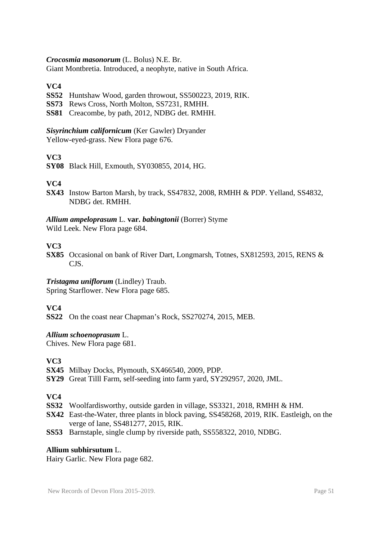#### *Crocosmia masonorum* (L. Bolus) N.E. Br.

Giant Montbretia. Introduced, a neophyte, native in South Africa.

#### **VC4**

- **SS52** Huntshaw Wood, garden throwout, SS500223, 2019, RIK.
- **SS73** Rews Cross, North Molton, SS7231, RMHH.
- **SS81** Creacombe, by path, 2012, NDBG det. RMHH.

# *Sisyrinchium californicum* (Ker Gawler) Dryander

Yellow-eyed-grass. New Flora page 676.

# **VC3**

**SY08** Black Hill, Exmouth, SY030855, 2014, HG.

### **VC4**

**SX43** Instow Barton Marsh, by track, SS47832, 2008, RMHH & PDP. Yelland, SS4832, NDBG det. RMHH.

#### *Allium ampeloprasum* L. **var.** *babingtonii* (Borrer) Styme

Wild Leek. New Flora page 684.

#### **VC3**

**SX85** Occasional on bank of River Dart, Longmarsh, Totnes, SX812593, 2015, RENS & CJS.

### *Tristagma uniflorum* (Lindley) Traub.

Spring Starflower. New Flora page 685.

### **VC4**

**SS22** On the coast near Chapman's Rock, SS270274, 2015, MEB.

#### *Allium schoenoprasum* L.

Chives. New Flora page 681.

#### **VC3**

- **SX45** Milbay Docks, Plymouth, SX466540, 2009, PDP.
- **SY29** Great Tilll Farm, self-seeding into farm yard, SY292957, 2020, JML.

#### **VC4**

- **SS32** Woolfardisworthy, outside garden in village, SS3321, 2018, RMHH & HM.
- **SX42** East-the-Water, three plants in block paving, SS458268, 2019, RIK. Eastleigh, on the verge of lane, SS481277, 2015, RIK.
- **SS53** Barnstaple, single clump by riverside path, SS558322, 2010, NDBG.

#### **Allium subhirsutum** L.

Hairy Garlic. New Flora page 682.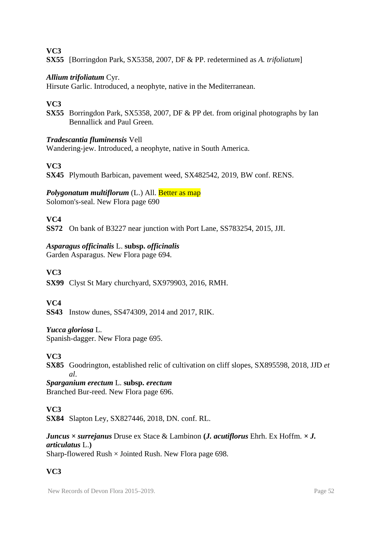**SX55** [Borringdon Park, SX5358, 2007, DF & PP. redetermined as *A. trifoliatum*]

#### *Allium trifoliatum* Cyr.

Hirsute Garlic. Introduced, a neophyte, native in the Mediterranean.

#### **VC3**

**SX55** Borringdon Park, SX5358, 2007, DF & PP det. from original photographs by Ian Bennallick and Paul Green.

#### *Tradescantia fluminensis* Vell

Wandering-jew. Introduced, a neophyte, native in South America.

#### **VC3**

**SX45** Plymouth Barbican, pavement weed, SX482542, 2019, BW conf. RENS.

#### *Polygonatum multiflorum* (L.) All. **Better as map**

Solomon's-seal. New Flora page 690

#### **VC4**

**SS72** On bank of B3227 near junction with Port Lane, SS783254, 2015, JJI.

#### *Asparagus officinalis* L. **subsp.** *officinalis*

Garden Asparagus. New Flora page 694.

#### **VC3**

**SX99** Clyst St Mary churchyard, SX979903, 2016, RMH.

#### **VC4**

**SS43** Instow dunes, SS474309, 2014 and 2017, RIK.

#### *Yucca gloriosa* L.

Spanish-dagger. New Flora page 695.

#### **VC3**

**SX85** Goodrington, established relic of cultivation on cliff slopes, SX895598, 2018, JJD *et al*.

*Sparganium erectum* L. **subsp.** *erectum* Branched Bur-reed. New Flora page 696.

#### **VC3**

**SX84** Slapton Ley, SX827446, 2018, DN. conf. RL.

### *Juncus × surrejanus* Druse ex Stace & Lambinon **(***J. acutiflorus* Ehrh. Ex Hoffm. *× J. articulatus* L.**)**

Sharp-flowered Rush  $\times$  Jointed Rush. New Flora page 698.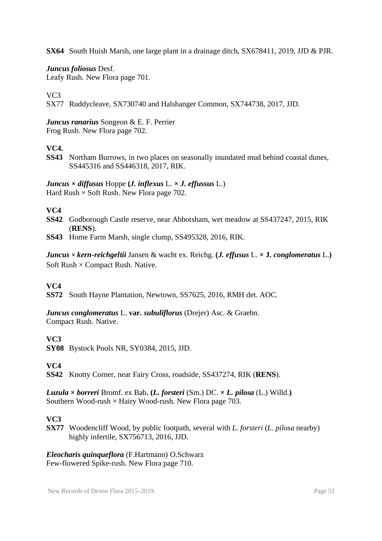**SX64** South Huish Marsh, one large plant in a drainage ditch, SX678411, 2019, JJD & PJR.

*Juncus foliosus* Desf.

Leafy Rush. New Flora page 701.

VC3

SX77 Ruddycleave, SX730740 and Halshanger Common, SX744738, 2017, JJD.

*Juncus ranarius* Songeon & E. F. Perrier Frog Rush. New Flora page 702.

# **VC4.**

**SS43** Northam Burrows, in two places on seasonally inundated mud behind coastal dunes, SS445316 and SS446318, 2017, RIK.

*Juncus* **×** *diffusus* Hoppe **(***J. inflexus* L. **×** *J. effussus* L.) Hard Rush  $\times$  Soft Rush. New Flora page 702.

### **VC4**

- **SS42** Godborough Castle reserve, near Abbotsham, wet meadow at SS437247, 2015, RIK (**RENS**).
- **SS43** Home Farm Marsh, single clump, SS495328, 2016, RIK.

*Juncus* **×** *kern-reichgeltii* Jansen & wacht ex. Reichg. **(***J. effusus* L. **× J.** *conglomeratus* L.**)** Soft Rush  $\times$  Compact Rush. Native.

### **VC4**

**SS72** South Hayne Plantation, Newtown, SS7625, 2016, RMH det. AOC.

*Juncus conglomeratus* L. **var.** *subuliflorus* (Drejer) Asc. & Graebn. Compact Rush. Native.

# **VC3**

**SY08** Bystock Pools NR, SY0384, 2015, JJD.

**VC4**

**SS42** Knotty Corner, near Fairy Cross, roadside, SS437274, RIK (**RENS**).

*Luzula* **×** *borreri* Bromf. ex Bab**. (***L. forsteri* (Sm.) DC. **×** *L. pilosa* (L.) Willd.**)** Southern Wood-rush  $\times$  Hairy Wood-rush. New Flora page 703.

### **VC3**

**SX77** Woodencliff Wood, by public footpath, several with *L. forsteri* (*L. pilosa* nearby) highly infertile, SX756713, 2016, JJD.

*Eleocharis quinqueflora* (F.Hartmann) O.Schwarz Few-flowered Spike-rush. New Flora page 710.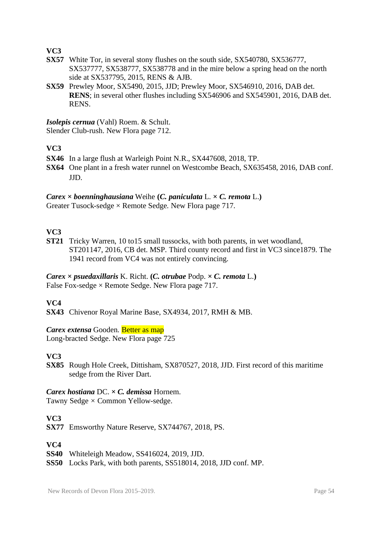- **SX57** White Tor, in several stony flushes on the south side, SX540780, SX536777, SX537777, SX538777, SX538778 and in the mire below a spring head on the north side at SX537795, 2015, RENS & AJB.
- **SX59** Prewley Moor, SX5490, 2015, JJD; Prewley Moor, SX546910, 2016, DAB det. **RENS**; in several other flushes including SX546906 and SX545901, 2016, DAB det. RENS.

*Isolepis cernua* (Vahl) Roem. & Schult.

Slender Club-rush. New Flora page 712.

### **VC3**

- **SX46** In a large flush at Warleigh Point N.R., SX447608, 2018, TP.
- **SX64** One plant in a fresh water runnel on Westcombe Beach, SX635458, 2016, DAB conf. JJD.

#### *Carex*  $\times$  *boenninghausiana* Weihe (*C. paniculata* L.  $\times$  *C. remota* L.)

Greater Tusock-sedge  $\times$  Remote Sedge. New Flora page 717.

# **VC3**

**ST21** Tricky Warren, 10 to15 small tussocks, with both parents, in wet woodland, ST201147, 2016, CB det. MSP. Third county record and first in VC3 since1879. The 1941 record from VC4 was not entirely convincing.

#### *Carex*  $\times$  *psuedaxillaris* K. Richt. (*C. otrubae* Podp.  $\times$  *C. remota* L.) False Fox-sedge  $\times$  Remote Sedge. New Flora page 717.

# **VC4**

**SX43** Chivenor Royal Marine Base, SX4934, 2017, RMH & MB.

### *Carex extensa* Gooden. Better as map

Long-bracted Sedge. New Flora page 725

# **VC3**

**SX85** Rough Hole Creek, Dittisham, SX870527, 2018, JJD. First record of this maritime sedge from the River Dart.

### *Carex hostiana* DC. *× C. demissa* Hornem.

Tawny Sedge *×* Common Yellow-sedge.

# **VC3**

**SX77** Emsworthy Nature Reserve, SX744767, 2018, PS.

- **SS40** Whiteleigh Meadow, SS416024, 2019, JJD.
- **SS50** Locks Park, with both parents, SS518014, 2018, JJD conf. MP.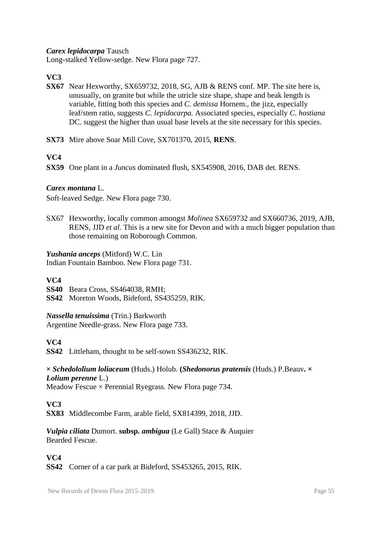*Carex lepidocarpa* Tausch

Long-stalked Yellow-sedge. New Flora page 727.

**VC3**

- **SX67** Near Hexworthy, SX659732, 2018, SG, AJB & RENS conf. MP. The site here is, unusually, on granite but while the utricle size shape, shape and beak length is variable, fitting both this species and *C. demissa* Hornem., the jizz, especially leaf/stem ratio, suggests *C. lepidocarpa.* Associated species, especially *C. hostiana* DC. suggest the higher than usual base levels at the site necessary for this species.
- **SX73** Mire above Soar Mill Cove, SX701370, 2015, **RENS**.

# **VC4**

**SX59** One plant in a *Juncus* dominated flush, SX545908, 2016, DAB det. RENS.

#### *Carex montana* L.

Soft-leaved Sedge. New Flora page 730.

SX67 Hexworthy, locally common amongst *Molinea* SX659732 and SX660736, 2019, AJB, RENS, JJD *et al*. This is a new site for Devon and with a much bigger population than those remaining on Roborough Common.

#### *Yushania anceps* (Mitford) W.C. Lin

Indian Fountain Bamboo. New Flora page 731.

#### **VC4**

**SS40** Beara Cross, SS464038, RMH;

**SS42** Moreton Woods, Bideford, SS435259, RIK.

#### *Nassella tenuissima* (Trin.) Barkworth

Argentine Needle-grass. New Flora page 733.

#### **VC4**

**SS42** Littleham, thought to be self-sown SS436232, RIK.

#### **×** *Schedololium loliaceum* (Huds.) Holub. **(***Shedonorus pratensis* (Huds.) P.Beauv**. ×**  *Lolium perenne* L.)

Meadow Fescue  $\times$  Perennial Ryegrass. New Flora page 734.

### **VC3**

**SX83** Middlecombe Farm, arable field, SX814399, 2018, JJD.

#### *Vulpia ciliata* Dumort. **subsp.** *ambigua* (Le Gall) Stace & Auquier Bearded Fescue.

### **VC4**

**SS42** Corner of a car park at Bideford, SS453265, 2015, RIK.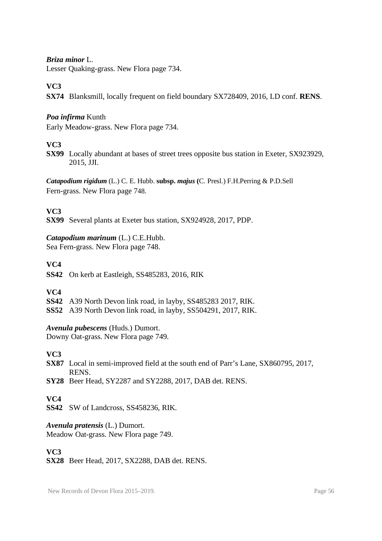#### *Briza minor* L.

Lesser Quaking-grass. New Flora page 734.

#### **VC3**

**SX74** Blanksmill, locally frequent on field boundary SX728409, 2016, LD conf. **RENS**.

#### *Poa infirma* Kunth

Early Meadow-grass. New Flora page 734.

#### **VC3**

**SX99** Locally abundant at bases of street trees opposite bus station in Exeter, SX923929, 2015, JJI.

*Catapodium rigidum* (L.) C. E. Hubb. **subsp.** *majus* **(**C. Presl.) F.H.Perring & P.D.Sell Fern-grass. New Flora page 748.

#### **VC3**

**SX99** Several plants at Exeter bus station, SX924928, 2017, PDP.

#### *Catapodium marinum* (L.) C.E.Hubb.

Sea Fern-grass. New Flora page 748.

# **VC4**

**SS42** On kerb at Eastleigh, SS485283, 2016, RIK

### **VC4**

**SS42** A39 North Devon link road, in layby, SS485283 2017, RIK.

**SS52** A39 North Devon link road, in layby, SS504291, 2017, RIK.

#### *Avenula pubescens* (Huds.) Dumort.

Downy Oat-grass. New Flora page 749.

### **VC3**

- **SX87** Local in semi-improved field at the south end of Parr's Lane, SX860795, 2017, RENS.
- **SY28** Beer Head, SY2287 and SY2288, 2017, DAB det. RENS.

#### **VC4**

**SS42** SW of Landcross, SS458236, RIK.

#### *Avenula pratensis* (L.) Dumort.

Meadow Oat-grass. New Flora page 749.

### **VC3**

**SX28** Beer Head, 2017, SX2288, DAB det. RENS.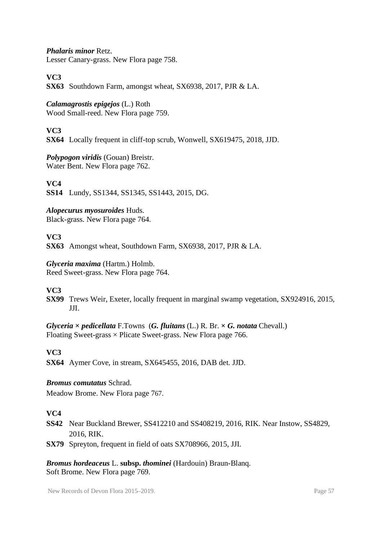*Phalaris minor* Retz.

Lesser Canary-grass. New Flora page 758.

# **VC3**

**SX63** Southdown Farm, amongst wheat, SX6938, 2017, PJR & LA.

### *Calamagrostis epigejos* (L.) Roth

Wood Small-reed. New Flora page 759.

#### **VC3**

**SX64** Locally frequent in cliff-top scrub, Wonwell, SX619475, 2018, JJD.

# *Polypogon viridis* (Gouan) Breistr.

Water Bent. New Flora page 762.

#### **VC4**

**SS14** Lundy, SS1344, SS1345, SS1443, 2015, DG.

# *Alopecurus myosuroides* Huds.

Black-grass. New Flora page 764.

### **VC3**

**SX63** Amongst wheat, Southdown Farm, SX6938, 2017, PJR & LA.

#### *Glyceria maxima* (Hartm.) Holmb.

Reed Sweet-grass. New Flora page 764.

### **VC3**

**SX99** Trews Weir, Exeter, locally frequent in marginal swamp vegetation, SX924916, 2015, JJI.

*Glyceria* **×** *pedicellata* F.Towns(*G. fluitans* (L.) R. Br. **×** *G. notata* Chevall.) Floating Sweet-grass  $\times$  Plicate Sweet-grass. New Flora page 766.

### **VC3**

**SX64** Aymer Cove, in stream, SX645455, 2016, DAB det. JJD.

#### *Bromus comutatus* Schrad.

Meadow Brome. New Flora page 767.

### **VC4**

- **SS42** Near Buckland Brewer, SS412210 and SS408219, 2016, RIK. Near Instow, SS4829, 2016, RIK.
- **SX79** Spreyton, frequent in field of oats SX708966, 2015, JJI.

*Bromus hordeaceus* L. **subsp.** *thominei* (Hardouin) Braun-Blanq. Soft Brome. New Flora page 769.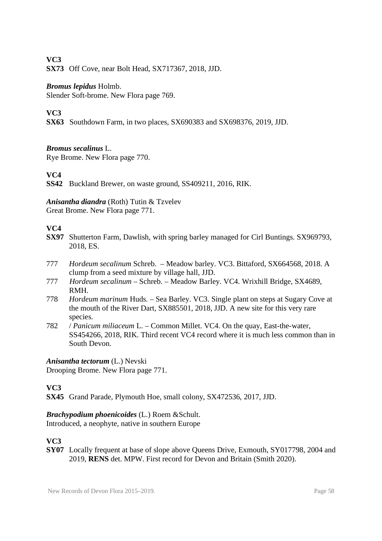**SX73** Off Cove, near Bolt Head, SX717367, 2018, JJD.

#### *Bromus lepidus* Holmb.

Slender Soft-brome. New Flora page 769.

# **VC3**

**SX63** Southdown Farm, in two places, SX690383 and SX698376, 2019, JJD.

#### *Bromus secalinus* L.

Rye Brome. New Flora page 770.

### **VC4**

**SS42** Buckland Brewer, on waste ground, SS409211, 2016, RIK.

### *Anisantha diandra* (Roth) Tutin & Tzvelev

Great Brome. New Flora page 771.

#### **VC4**

- **SX97** Shutterton Farm, Dawlish, with spring barley managed for Cirl Buntings. SX969793, 2018, ES.
- 777 *Hordeum secalinum* Schreb. Meadow barley. VC3. Bittaford, SX664568, 2018. A clump from a seed mixture by village hall, JJD.
- 777 *Hordeum secalinum* Schreb. Meadow Barley. VC4. Wrixhill Bridge, SX4689, RMH.
- 778 *Hordeum marinum* Huds. Sea Barley. VC3. Single plant on steps at Sugary Cove at the mouth of the River Dart, SX885501, 2018, JJD. A new site for this very rare species.
- 782 / *Panicum miliaceum* L. Common Millet. VC4. On the quay, East-the-water, SS454266, 2018, RIK. Third recent VC4 record where it is much less common than in South Devon.

#### *Anisantha tectorum* (L.) Nevski

Drooping Brome. New Flora page 771.

### **VC3**

**SX45** Grand Parade, Plymouth Hoe, small colony, SX472536, 2017, JJD.

# *Brachypodium phoenicoides* (L.) Roem &Schult.

Introduced, a neophyte, native in southern Europe

### **VC3**

**SY07** Locally frequent at base of slope above Queens Drive, Exmouth, SY017798, 2004 and 2019, **RENS** det. MPW. First record for Devon and Britain (Smith 2020).